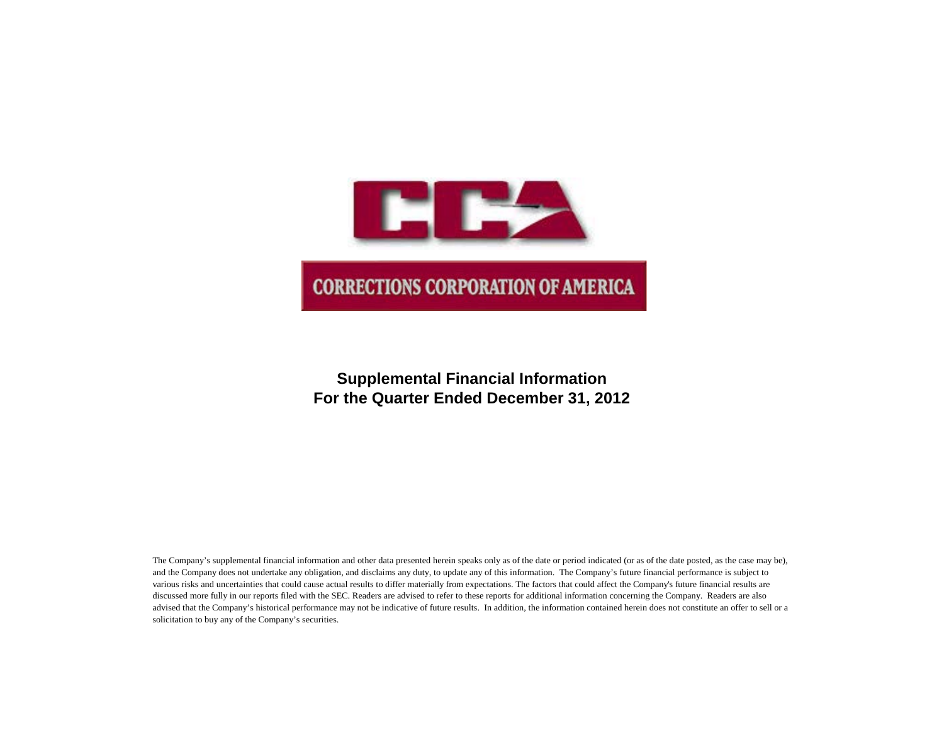

# **Supplemental Financial Information For the Quarter Ended December 31, 2012**

The Company's supplemental financial information and other data presented herein speaks only as of the date or period indicated (or as of the date posted, as the case may be), and the Company does not undertake any obligation, and disclaims any duty, to update any of this information. The Company's future financial performance is subject to various risks and uncertainties that could cause actual results to differ materially from expectations. The factors that could affect the Company's future financial results are discussed more fully in our reports filed with the SEC. Readers are advised to refer to these reports for additional information concerning the Company. Readers are also advised that the Company's historical performance may not be indicative of future results. In addition, the information contained herein does not constitute an offer to sell or a solicitation to buy any of the Company's securities.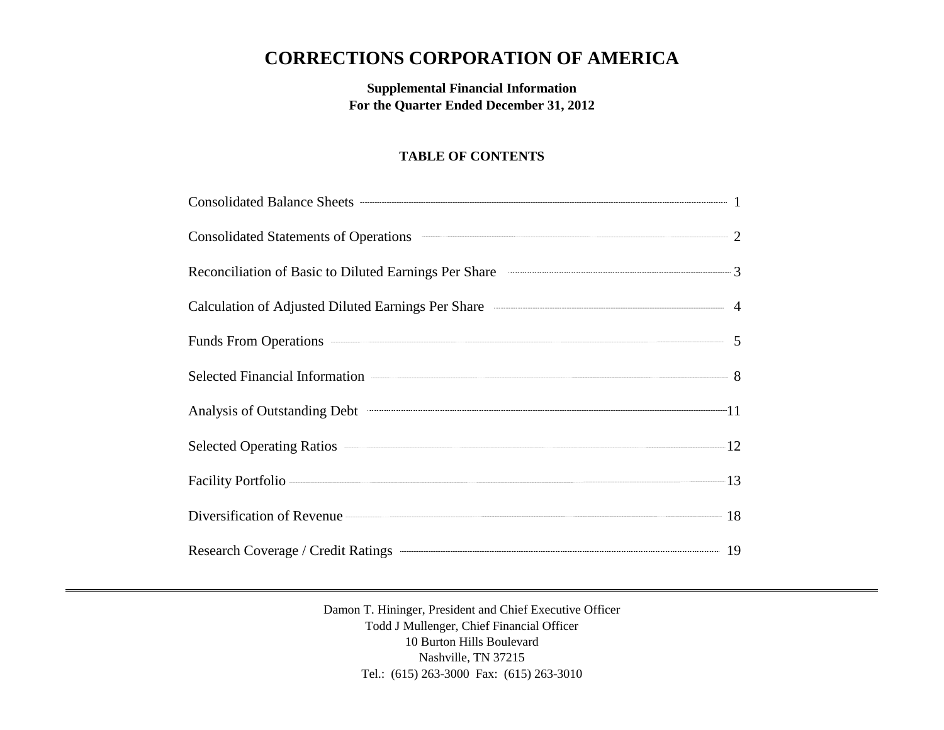# **CORRECTIONS CORPORATION OF AMERICA**

**Supplemental Financial Information For the Quarter Ended December 31, 2012**

# **TABLE OF CONTENTS**

| Consolidated Balance Sheets 1                                                        |  |
|--------------------------------------------------------------------------------------|--|
| Consolidated Statements of Operations <b>Consolidated Statements</b> of Operations 2 |  |
|                                                                                      |  |
|                                                                                      |  |
| Funds From Operations 5                                                              |  |
| Selected Financial Information 28                                                    |  |
| Analysis of Outstanding Debt 11                                                      |  |
| Selected Operating Ratios 22                                                         |  |
| Facility Portfolio 2008 2014 13                                                      |  |
| Diversification of Revenue 18                                                        |  |
|                                                                                      |  |

Damon T. Hininger, President and Chief Executive Officer Todd J Mullenger, Chief Financial Officer 10 Burton Hills Boulevard Nashville, TN 37215 Tel.: (615) 263-3000 Fax: (615) 263-3010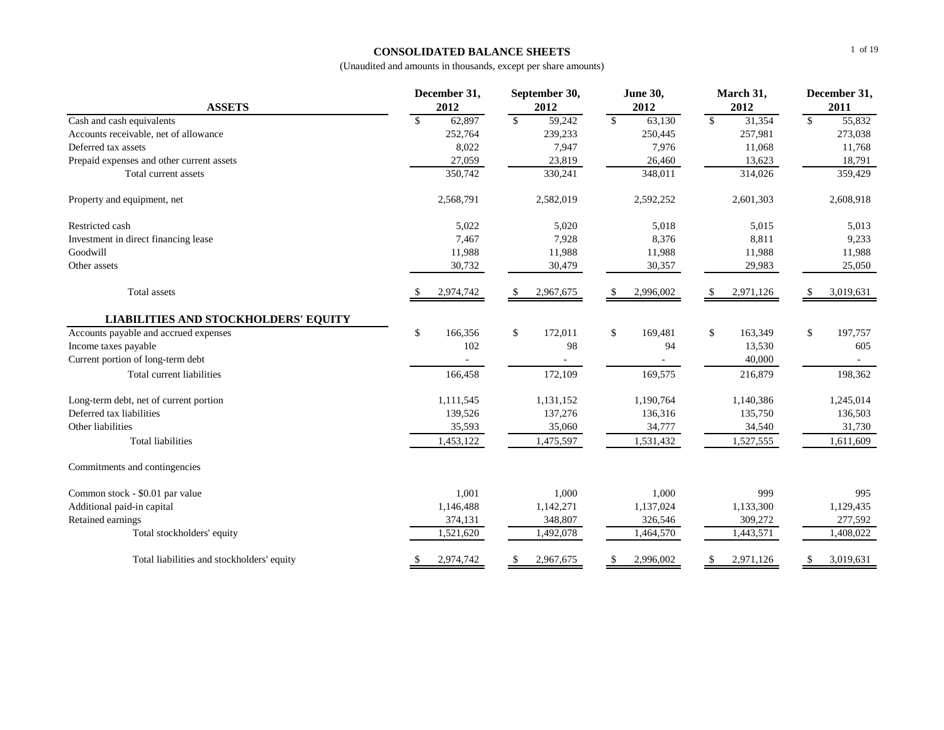#### **CONSOLIDATED BALANCE SHEETS**

|                                             |    | December 31,             |                      | September 30, |                      | <b>June 30,</b> |                          | March 31, |                 | December 31, |
|---------------------------------------------|----|--------------------------|----------------------|---------------|----------------------|-----------------|--------------------------|-----------|-----------------|--------------|
| <b>ASSETS</b>                               |    | 2012                     |                      | 2012          |                      | 2012            |                          | 2012      |                 | 2011         |
| Cash and cash equivalents                   | \$ | 62,897                   | $\sqrt{\frac{2}{5}}$ | 59,242        | $\sqrt{\frac{2}{5}}$ | 63,130          | $\overline{\mathcal{S}}$ | 31,354    | $\overline{\$}$ | 55,832       |
| Accounts receivable, net of allowance       |    | 252,764                  |                      | 239,233       |                      | 250,445         |                          | 257,981   |                 | 273,038      |
| Deferred tax assets                         |    | 8,022                    |                      | 7,947         |                      | 7,976           |                          | 11,068    |                 | 11,768       |
| Prepaid expenses and other current assets   |    | 27,059                   |                      | 23,819        |                      | 26,460          |                          | 13,623    |                 | 18,791       |
| Total current assets                        |    | 350,742                  |                      | 330,241       |                      | 348,011         |                          | 314,026   |                 | 359,429      |
| Property and equipment, net                 |    | 2,568,791                |                      | 2,582,019     |                      | 2,592,252       |                          | 2,601,303 |                 | 2,608,918    |
| Restricted cash                             |    | 5,022                    |                      | 5,020         |                      | 5,018           |                          | 5,015     |                 | 5,013        |
| Investment in direct financing lease        |    | 7,467                    |                      | 7,928         |                      | 8,376           |                          | 8,811     |                 | 9,233        |
| Goodwill                                    |    | 11,988                   |                      | 11,988        |                      | 11,988          |                          | 11,988    |                 | 11,988       |
| Other assets                                |    | 30,732                   |                      | 30,479        |                      | 30,357          |                          | 29,983    |                 | 25,050       |
| Total assets                                |    | 2,974,742                |                      | 2,967,675     |                      | 2,996,002       | S.                       | 2,971,126 | <sup>\$</sup>   | 3,019,631    |
| <b>LIABILITIES AND STOCKHOLDERS' EQUITY</b> |    |                          |                      |               |                      |                 |                          |           |                 |              |
| Accounts payable and accrued expenses       | \$ | 166,356                  | \$                   | 172,011       | $\mathbb{S}$         | 169,481         | \$                       | 163,349   | $\mathbb{S}$    | 197,757      |
| Income taxes payable                        |    | 102                      |                      | 98            |                      | 94              |                          | 13,530    |                 | 605          |
| Current portion of long-term debt           |    | $\overline{\phantom{a}}$ |                      |               |                      |                 |                          | 40,000    |                 | $\sim$       |
| Total current liabilities                   |    | 166,458                  |                      | 172,109       |                      | 169,575         |                          | 216,879   |                 | 198,362      |
| Long-term debt, net of current portion      |    | 1,111,545                |                      | 1,131,152     |                      | 1,190,764       |                          | 1,140,386 |                 | 1,245,014    |
| Deferred tax liabilities                    |    | 139,526                  |                      | 137,276       |                      | 136,316         |                          | 135,750   |                 | 136,503      |
| Other liabilities                           |    | 35,593                   |                      | 35,060        |                      | 34,777          |                          | 34,540    |                 | 31,730       |
| <b>Total liabilities</b>                    |    | 1,453,122                |                      | 1,475,597     |                      | 1,531,432       |                          | 1,527,555 |                 | 1,611,609    |
| Commitments and contingencies               |    |                          |                      |               |                      |                 |                          |           |                 |              |
| Common stock - \$0.01 par value             |    | 1,001                    |                      | 1,000         |                      | 1,000           |                          | 999       |                 | 995          |
| Additional paid-in capital                  |    | 1,146,488                |                      | 1,142,271     |                      | 1,137,024       |                          | 1,133,300 |                 | 1,129,435    |
| Retained earnings                           |    | 374,131                  |                      | 348,807       |                      | 326,546         |                          | 309,272   |                 | 277,592      |
| Total stockholders' equity                  |    | 1,521,620                |                      | 1,492,078     |                      | 1,464,570       |                          | 1,443,571 |                 | 1,408,022    |
| Total liabilities and stockholders' equity  | S  | 2,974,742                | \$                   | 2,967,675     | \$                   | 2,996,002       | \$                       | 2,971,126 | \$              | 3,019,631    |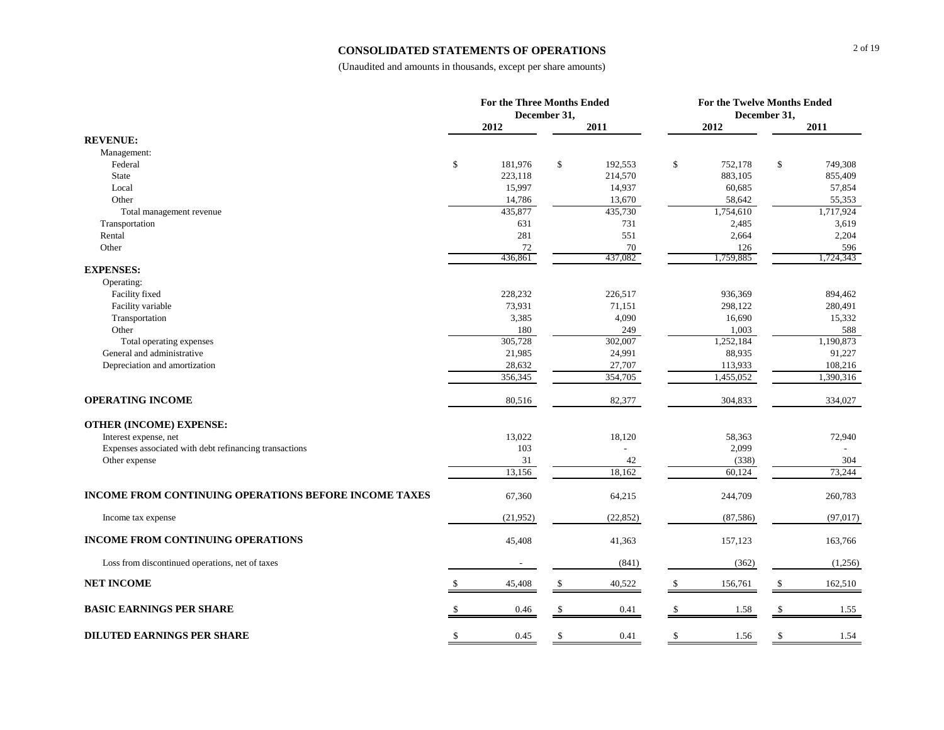### **CONSOLIDATED STATEMENTS OF OPERATIONS**

|                                                        |               | <b>For the Three Months Ended</b> | December 31, |           | <b>For the Twelve Months Ended</b><br>December 31, |           |    |           |  |
|--------------------------------------------------------|---------------|-----------------------------------|--------------|-----------|----------------------------------------------------|-----------|----|-----------|--|
|                                                        |               | 2012                              |              | 2011      |                                                    | 2012      |    | 2011      |  |
| <b>REVENUE:</b>                                        |               |                                   |              |           |                                                    |           |    |           |  |
| Management:                                            |               |                                   |              |           |                                                    |           |    |           |  |
| Federal                                                | \$            | 181,976                           | \$           | 192,553   | \$                                                 | 752,178   | \$ | 749,308   |  |
| State                                                  |               | 223,118                           |              | 214,570   |                                                    | 883,105   |    | 855,409   |  |
| Local                                                  |               | 15,997                            |              | 14,937    |                                                    | 60,685    |    | 57,854    |  |
| Other                                                  |               | 14,786                            |              | 13,670    |                                                    | 58,642    |    | 55,353    |  |
| Total management revenue                               |               | 435,877                           |              | 435,730   |                                                    | 1,754,610 |    | 1,717,924 |  |
| Transportation                                         |               | 631                               |              | 731       |                                                    | 2,485     |    | 3,619     |  |
| Rental                                                 |               | 281                               |              | 551       |                                                    | 2,664     |    | 2,204     |  |
| Other                                                  |               | 72                                |              | 70        |                                                    | 126       |    | 596       |  |
|                                                        |               | 436,861                           |              | 437,082   |                                                    | 1,759,885 |    | 1,724,343 |  |
| <b>EXPENSES:</b>                                       |               |                                   |              |           |                                                    |           |    |           |  |
| Operating:                                             |               |                                   |              |           |                                                    |           |    |           |  |
| Facility fixed                                         |               | 228,232                           |              | 226,517   |                                                    | 936,369   |    | 894,462   |  |
| Facility variable                                      |               | 73,931                            |              | 71,151    |                                                    | 298,122   |    | 280,491   |  |
| Transportation                                         |               | 3,385                             |              | 4,090     |                                                    | 16,690    |    | 15,332    |  |
| Other                                                  |               | 180                               |              | 249       |                                                    | 1,003     |    | 588       |  |
| Total operating expenses                               |               | 305,728                           |              | 302,007   |                                                    | 1,252,184 |    | 1,190,873 |  |
| General and administrative                             |               | 21,985                            |              | 24,991    |                                                    | 88,935    |    | 91,227    |  |
| Depreciation and amortization                          |               | 28,632                            |              | 27,707    |                                                    | 113,933   |    | 108,216   |  |
|                                                        |               | 356,345                           |              | 354,705   |                                                    | 1,455,052 |    | 1,390,316 |  |
| <b>OPERATING INCOME</b>                                |               | 80,516                            |              | 82,377    |                                                    | 304,833   |    | 334,027   |  |
| <b>OTHER (INCOME) EXPENSE:</b>                         |               |                                   |              |           |                                                    |           |    |           |  |
| Interest expense, net                                  |               | 13,022                            |              | 18,120    |                                                    | 58,363    |    | 72,940    |  |
| Expenses associated with debt refinancing transactions |               | 103                               |              |           |                                                    | 2,099     |    |           |  |
| Other expense                                          |               | 31                                |              | 42        |                                                    | (338)     |    | 304       |  |
|                                                        |               | 13,156                            |              | 18,162    |                                                    | 60,124    |    | 73,244    |  |
| INCOME FROM CONTINUING OPERATIONS BEFORE INCOME TAXES  |               | 67,360                            |              | 64,215    |                                                    | 244,709   |    | 260,783   |  |
| Income tax expense                                     |               | (21, 952)                         |              | (22, 852) |                                                    | (87, 586) |    | (97, 017) |  |
| <b>INCOME FROM CONTINUING OPERATIONS</b>               |               | 45,408                            |              | 41,363    |                                                    | 157,123   |    | 163,766   |  |
| Loss from discontinued operations, net of taxes        |               |                                   |              | (841)     |                                                    | (362)     |    | (1,256)   |  |
| <b>NET INCOME</b>                                      |               | 45,408                            | $\mathbb{S}$ | 40,522    | <b>S</b>                                           | 156,761   | \$ | 162,510   |  |
| <b>BASIC EARNINGS PER SHARE</b>                        |               | 0.46                              |              | 0.41      | \$.                                                | 1.58      |    | 1.55      |  |
| <b>DILUTED EARNINGS PER SHARE</b>                      | <sup>\$</sup> | 0.45                              | \$           | 0.41      | \$                                                 | 1.56      | \$ | 1.54      |  |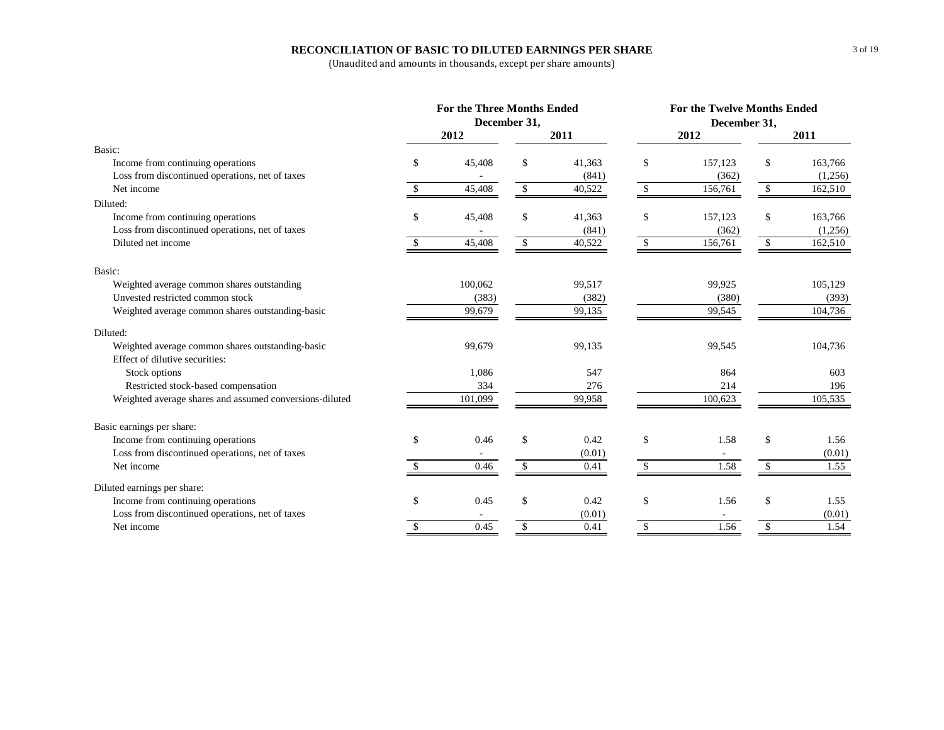## **RECONCILIATION OF BASIC TO DILUTED EARNINGS PER SHARE**

|                                                         |               | For the Three Months Ended |              |        | <b>For the Twelve Months Ended</b> |                          |                           |         |  |  |
|---------------------------------------------------------|---------------|----------------------------|--------------|--------|------------------------------------|--------------------------|---------------------------|---------|--|--|
|                                                         |               |                            | December 31, |        |                                    | December 31,             |                           |         |  |  |
|                                                         |               | 2012                       |              | 2011   |                                    | 2012                     |                           | 2011    |  |  |
| Basic:                                                  |               |                            |              |        |                                    |                          |                           |         |  |  |
| Income from continuing operations                       | \$            | 45,408                     | \$           | 41,363 | \$                                 | 157,123                  | \$                        | 163,766 |  |  |
| Loss from discontinued operations, net of taxes         |               |                            |              | (841)  |                                    | (362)                    |                           | (1,256) |  |  |
| Net income                                              | <sup>\$</sup> | 45,408                     | \$           | 40,522 | $\mathbf{s}$                       | 156,761                  | $\mathsf{\$}$             | 162,510 |  |  |
| Diluted:                                                |               |                            |              |        |                                    |                          |                           |         |  |  |
| Income from continuing operations                       | \$            | 45,408                     | \$           | 41,363 | \$                                 | 157,123                  | \$                        | 163,766 |  |  |
| Loss from discontinued operations, net of taxes         |               |                            |              | (841)  |                                    | (362)                    |                           | (1,256) |  |  |
| Diluted net income                                      |               | 45,408                     | \$           | 40,522 | \$                                 | 156,761                  | \$                        | 162,510 |  |  |
| Basic:                                                  |               |                            |              |        |                                    |                          |                           |         |  |  |
| Weighted average common shares outstanding              |               | 100,062                    |              | 99,517 |                                    | 99,925                   |                           | 105,129 |  |  |
| Unvested restricted common stock                        |               | (383)                      |              | (382)  |                                    | (380)                    |                           | (393)   |  |  |
| Weighted average common shares outstanding-basic        |               | $\overline{99,679}$        |              | 99,135 |                                    | 99,545                   |                           | 104,736 |  |  |
| Diluted:                                                |               |                            |              |        |                                    |                          |                           |         |  |  |
| Weighted average common shares outstanding-basic        |               | 99,679                     |              | 99,135 |                                    | 99,545                   |                           | 104,736 |  |  |
| Effect of dilutive securities:                          |               |                            |              |        |                                    |                          |                           |         |  |  |
| Stock options                                           |               | 1,086                      |              | 547    |                                    | 864                      |                           | 603     |  |  |
| Restricted stock-based compensation                     |               | 334                        |              | 276    |                                    | 214                      |                           | 196     |  |  |
| Weighted average shares and assumed conversions-diluted |               | 101,099                    |              | 99,958 |                                    | 100,623                  |                           | 105,535 |  |  |
| Basic earnings per share:                               |               |                            |              |        |                                    |                          |                           |         |  |  |
| Income from continuing operations                       | \$            | 0.46                       | \$           | 0.42   | \$                                 | 1.58                     | \$                        | 1.56    |  |  |
| Loss from discontinued operations, net of taxes         |               | $\overline{\phantom{a}}$   |              | (0.01) |                                    | $\overline{\phantom{a}}$ |                           | (0.01)  |  |  |
| Net income                                              | $\mathcal{S}$ | 0.46                       | $\mathbb{S}$ | 0.41   | $\mathcal{S}$                      | 1.58                     | $\mathcal{S}$             | 1.55    |  |  |
| Diluted earnings per share:                             |               |                            |              |        |                                    |                          |                           |         |  |  |
| Income from continuing operations                       | \$            | 0.45                       | \$           | 0.42   | \$                                 | 1.56                     | \$                        | 1.55    |  |  |
| Loss from discontinued operations, net of taxes         |               |                            |              | (0.01) |                                    |                          |                           | (0.01)  |  |  |
| Net income                                              | $\mathbf{\$}$ | 0.45                       | \$           | 0.41   | \$                                 | 1.56                     | $\boldsymbol{\mathsf{S}}$ | 1.54    |  |  |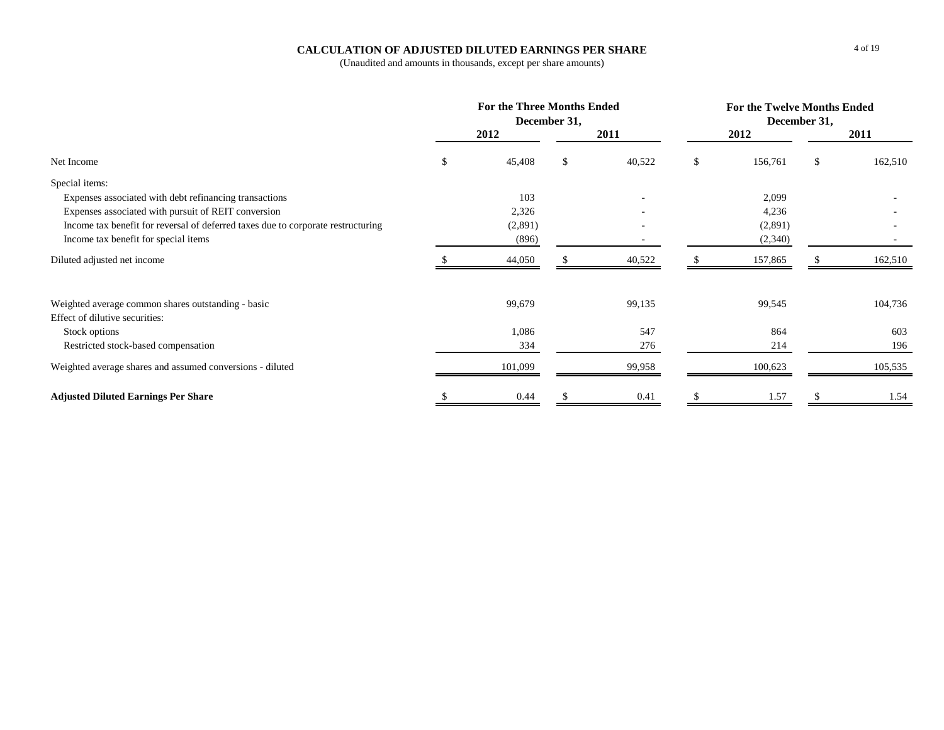## **CALCULATION OF ADJUSTED DILUTED EARNINGS PER SHARE**

|                                                                                  | For the Three Months Ended<br>December 31, |         |               |        |    | <b>For the Twelve Months Ended</b><br>December 31, |    |         |  |  |
|----------------------------------------------------------------------------------|--------------------------------------------|---------|---------------|--------|----|----------------------------------------------------|----|---------|--|--|
|                                                                                  |                                            | 2012    |               | 2011   |    | 2012                                               |    | 2011    |  |  |
| Net Income                                                                       | \$                                         | 45,408  | <sup>\$</sup> | 40,522 | \$ | 156,761                                            | \$ | 162,510 |  |  |
| Special items:                                                                   |                                            |         |               |        |    |                                                    |    |         |  |  |
| Expenses associated with debt refinancing transactions                           |                                            | 103     |               |        |    | 2,099                                              |    |         |  |  |
| Expenses associated with pursuit of REIT conversion                              |                                            | 2,326   |               |        |    | 4,236                                              |    |         |  |  |
| Income tax benefit for reversal of deferred taxes due to corporate restructuring |                                            | (2,891) |               |        |    | (2,891)                                            |    |         |  |  |
| Income tax benefit for special items                                             |                                            | (896)   |               |        |    | (2,340)                                            |    |         |  |  |
| Diluted adjusted net income                                                      |                                            | 44,050  |               | 40,522 |    | 157,865                                            |    | 162,510 |  |  |
| Weighted average common shares outstanding - basic                               |                                            | 99,679  |               | 99,135 |    | 99,545                                             |    | 104,736 |  |  |
| Effect of dilutive securities:                                                   |                                            |         |               |        |    |                                                    |    |         |  |  |
| Stock options                                                                    |                                            | 1,086   |               | 547    |    | 864                                                |    | 603     |  |  |
| Restricted stock-based compensation                                              |                                            | 334     |               | 276    |    | 214                                                |    | 196     |  |  |
| Weighted average shares and assumed conversions - diluted                        |                                            | 101,099 |               | 99,958 |    | 100,623                                            |    | 105,535 |  |  |
| <b>Adjusted Diluted Earnings Per Share</b>                                       |                                            | 0.44    |               | 0.41   |    | 1.57                                               |    | 1.54    |  |  |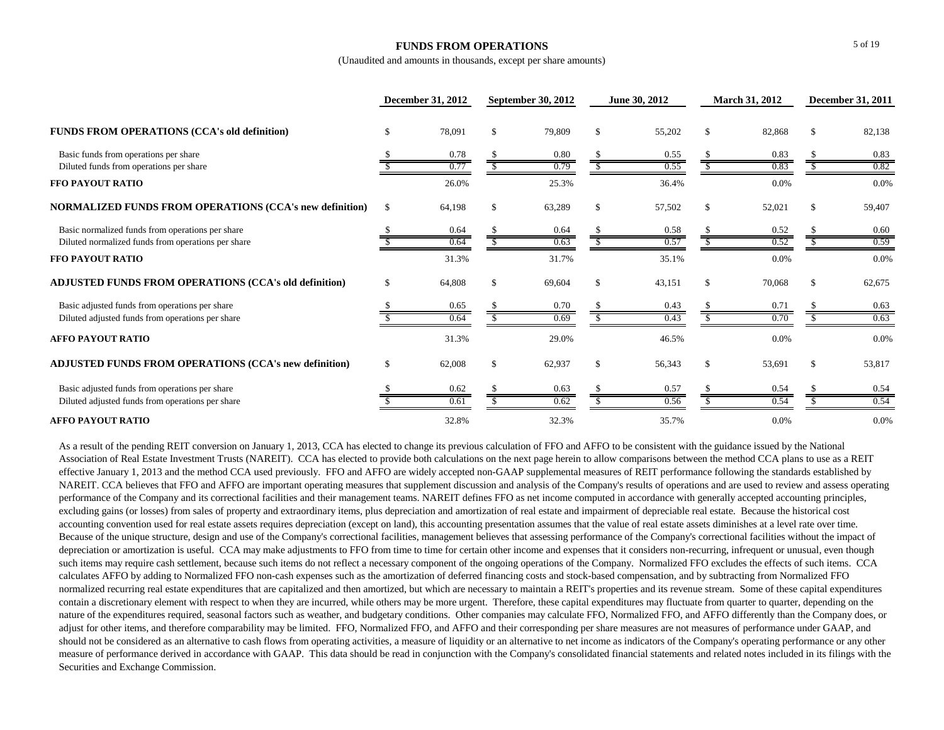#### **FUNDS FROM OPERATIONS**

(Unaudited and amounts in thousands, except per share amounts)

|                                                                | <b>December 31, 2012</b> |        | <b>September 30, 2012</b> |        | June 30, 2012 |        | <b>March 31, 2012</b> |        | December 31, 2011 |        |
|----------------------------------------------------------------|--------------------------|--------|---------------------------|--------|---------------|--------|-----------------------|--------|-------------------|--------|
| <b>FUNDS FROM OPERATIONS (CCA's old definition)</b>            | \$                       | 78,091 | S                         | 79,809 | <sup>\$</sup> | 55,202 | <sup>\$</sup>         | 82,868 | <sup>\$</sup>     | 82,138 |
| Basic funds from operations per share                          |                          | 0.78   |                           | 0.80   |               | 0.55   |                       | 0.83   |                   | 0.83   |
| Diluted funds from operations per share                        |                          | 0.77   |                           | 0.79   |               | 0.55   |                       | 0.83   |                   | 0.82   |
| <b>FFO PAYOUT RATIO</b>                                        |                          | 26.0%  |                           | 25.3%  |               | 36.4%  |                       | 0.0%   |                   | 0.0%   |
| <b>NORMALIZED FUNDS FROM OPERATIONS (CCA's new definition)</b> | \$                       | 64,198 | S                         | 63,289 | \$            | 57,502 | \$                    | 52,021 | \$                | 59,407 |
| Basic normalized funds from operations per share               |                          | 0.64   |                           | 0.64   |               | 0.58   |                       | 0.52   |                   | 0.60   |
| Diluted normalized funds from operations per share             |                          | 0.64   |                           | 0.63   |               | 0.57   |                       | 0.52   |                   | 0.59   |
| <b>FFO PAYOUT RATIO</b>                                        |                          | 31.3%  |                           | 31.7%  |               | 35.1%  |                       | 0.0%   |                   | 0.0%   |
| <b>ADJUSTED FUNDS FROM OPERATIONS (CCA's old definition)</b>   | \$                       | 64,808 | <sup>\$</sup>             | 69,604 | \$            | 43,151 | <sup>\$</sup>         | 70,068 | <sup>\$</sup>     | 62,675 |
| Basic adjusted funds from operations per share                 |                          | 0.65   |                           | 0.70   |               | 0.43   |                       | 0.71   |                   | 0.63   |
| Diluted adjusted funds from operations per share               |                          | 0.64   |                           | 0.69   |               | 0.43   |                       | 0.70   |                   | 0.63   |
| <b>AFFO PAYOUT RATIO</b>                                       |                          | 31.3%  |                           | 29.0%  |               | 46.5%  |                       | 0.0%   |                   | 0.0%   |
| <b>ADJUSTED FUNDS FROM OPERATIONS (CCA's new definition)</b>   | \$                       | 62,008 | <sup>\$</sup>             | 62,937 | \$            | 56,343 | <sup>\$</sup>         | 53,691 | <sup>\$</sup>     | 53,817 |
| Basic adjusted funds from operations per share                 |                          | 0.62   |                           | 0.63   |               | 0.57   |                       | 0.54   |                   | 0.54   |
| Diluted adjusted funds from operations per share               |                          | 0.61   |                           | 0.62   |               | 0.56   |                       | 0.54   |                   | 0.54   |
| <b>AFFO PAYOUT RATIO</b>                                       |                          | 32.8%  |                           | 32.3%  |               | 35.7%  |                       | 0.0%   |                   | 0.0%   |

As a result of the pending REIT conversion on January 1, 2013, CCA has elected to change its previous calculation of FFO and AFFO to be consistent with the guidance issued by the National Association of Real Estate Investment Trusts (NAREIT). CCA has elected to provide both calculations on the next page herein to allow comparisons between the method CCA plans to use as a REIT effective January 1, 2013 and the method CCA used previously. FFO and AFFO are widely accepted non-GAAP supplemental measures of REIT performance following the standards established by NAREIT. CCA believes that FFO and AFFO are important operating measures that supplement discussion and analysis of the Company's results of operations and are used to review and assess operating performance of the Company and its correctional facilities and their management teams. NAREIT defines FFO as net income computed in accordance with generally accepted accounting principles, excluding gains (or losses) from sales of property and extraordinary items, plus depreciation and amortization of real estate and impairment of depreciable real estate. Because the historical cost accounting convention used for real estate assets requires depreciation (except on land), this accounting presentation assumes that the value of real estate assets diminishes at a level rate over time. Because of the unique structure, design and use of the Company's correctional facilities, management believes that assessing performance of the Company's correctional facilities without the impact of depreciation or amortization is useful. CCA may make adjustments to FFO from time to time for certain other income and expenses that it considers non-recurring, infrequent or unusual, even though such items may require cash settlement, because such items do not reflect a necessary component of the ongoing operations of the Company. Normalized FFO excludes the effects of such items. CCA calculates AFFO by adding to Normalized FFO non-cash expenses such as the amortization of deferred financing costs and stock-based compensation, and by subtracting from Normalized FFO normalized recurring real estate expenditures that are capitalized and then amortized, but which are necessary to maintain a REIT's properties and its revenue stream. Some of these capital expenditures contain a discretionary element with respect to when they are incurred, while others may be more urgent. Therefore, these capital expenditures may fluctuate from quarter to quarter, depending on the nature of the expenditures required, seasonal factors such as weather, and budgetary conditions. Other companies may calculate FFO, Normalized FFO, and AFFO differently than the Company does, or adjust for other items, and therefore comparability may be limited. FFO, Normalized FFO, and AFFO and their corresponding per share measures are not measures of performance under GAAP, and should not be considered as an alternative to cash flows from operating activities, a measure of liquidity or an alternative to net income as indicators of the Company's operating performance or any other measure of performance derived in accordance with GAAP. This data should be read in conjunction with the Company's consolidated financial statements and related notes included in its filings with the Securities and Exchange Commission.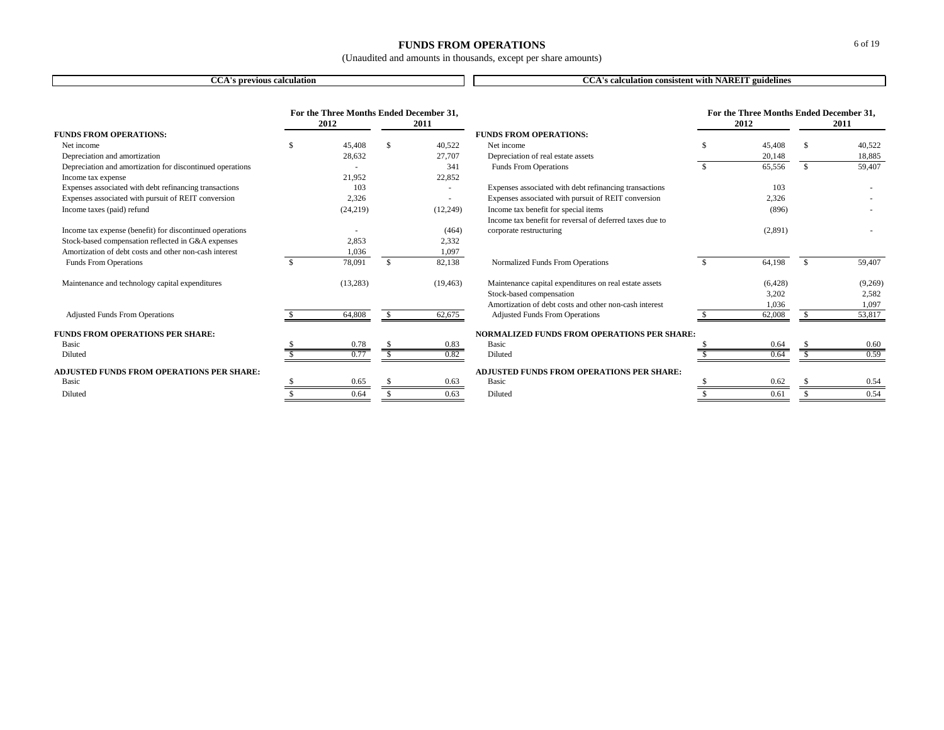#### **FUNDS FROM OPERATIONS**

#### (Unaudited and amounts in thousands, except per share amounts)

**CCA's previous calculation CCA's calculation consistent with NAREIT guidelines** 

|                                                           |     | For the Three Months Ended December 31,<br>2012 |    | 2011      |                                                          |    | For the Three Months Ended December 31,<br>2012 |               | 2011    |
|-----------------------------------------------------------|-----|-------------------------------------------------|----|-----------|----------------------------------------------------------|----|-------------------------------------------------|---------------|---------|
| <b>FUNDS FROM OPERATIONS:</b>                             |     |                                                 |    |           | <b>FUNDS FROM OPERATIONS:</b>                            |    |                                                 |               |         |
| Net income                                                |     | 45,408                                          |    | 40,522    | Net income                                               |    | 45,408                                          | \$.           | 40,522  |
| Depreciation and amortization                             |     | 28,632                                          |    | 27,707    | Depreciation of real estate assets                       |    | 20,148                                          |               | 18,885  |
| Depreciation and amortization for discontinued operations |     |                                                 |    | 341       | Funds From Operations                                    |    | 65,556                                          | $\mathcal{S}$ | 59,407  |
| Income tax expense                                        |     | 21,952                                          |    | 22,852    |                                                          |    |                                                 |               |         |
| Expenses associated with debt refinancing transactions    |     | 103                                             |    |           | Expenses associated with debt refinancing transactions   |    | 103                                             |               |         |
| Expenses associated with pursuit of REIT conversion       |     | 2,326                                           |    |           | Expenses associated with pursuit of REIT conversion      |    | 2,326                                           |               |         |
| Income taxes (paid) refund                                |     | (24,219)                                        |    | (12,249)  | Income tax benefit for special items                     |    | (896)                                           |               |         |
|                                                           |     |                                                 |    |           | Income tax benefit for reversal of deferred taxes due to |    |                                                 |               |         |
| Income tax expense (benefit) for discontinued operations  |     |                                                 |    | (464)     | corporate restructuring                                  |    | (2,891)                                         |               |         |
| Stock-based compensation reflected in G&A expenses        |     | 2,853                                           |    | 2,332     |                                                          |    |                                                 |               |         |
| Amortization of debt costs and other non-cash interest    |     | 1,036                                           |    | 1,097     |                                                          |    |                                                 |               |         |
| <b>Funds From Operations</b>                              | -\$ | 78,091                                          | .S | 82,138    | Normalized Funds From Operations                         | -S | 64,198                                          | S.            | 59,407  |
| Maintenance and technology capital expenditures           |     | (13,283)                                        |    | (19, 463) | Maintenance capital expenditures on real estate assets   |    | (6,428)                                         |               | (9,269) |
|                                                           |     |                                                 |    |           | Stock-based compensation                                 |    | 3,202                                           |               | 2,582   |
|                                                           |     |                                                 |    |           | Amortization of debt costs and other non-cash interest   |    | 1,036                                           |               | 1,097   |
| <b>Adjusted Funds From Operations</b>                     |     | 64,808                                          |    | 62,675    | <b>Adjusted Funds From Operations</b>                    |    | 62,008                                          |               | 53,817  |
| <b>FUNDS FROM OPERATIONS PER SHARE:</b>                   |     |                                                 |    |           | <b>NORMALIZED FUNDS FROM OPERATIONS PER SHARE:</b>       |    |                                                 |               |         |
| Basic                                                     |     | 0.78                                            |    | 0.83      | Basic                                                    |    | 0.64                                            |               | 0.60    |
| Diluted                                                   |     | 0.77                                            |    | 0.82      | Diluted                                                  |    | 0.64                                            |               | 0.59    |
| <b>ADJUSTED FUNDS FROM OPERATIONS PER SHARE:</b>          |     |                                                 |    |           | <b>ADJUSTED FUNDS FROM OPERATIONS PER SHARE:</b>         |    |                                                 |               |         |
| Basic                                                     |     | 0.65                                            |    | 0.63      | Basic                                                    |    | 0.62                                            |               | 0.54    |
| Diluted                                                   |     | 0.64                                            |    | 0.63      | Diluted                                                  |    | 0.61                                            |               | 0.54    |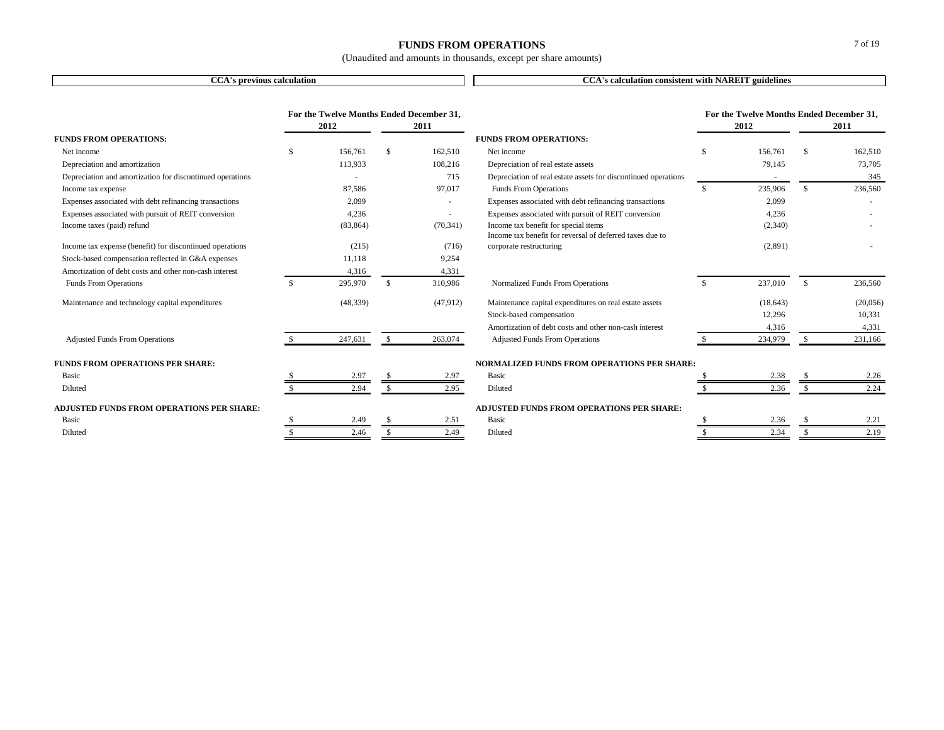#### **FUNDS FROM OPERATIONS**

#### (Unaudited and amounts in thousands, except per share amounts)

**CCA's previous calculation CCA's calculation consistent with NAREIT guidelines** 

|                                                           |    | For the Twelve Months Ended December 31, |               |           |                                                                                                  |              | For the Twelve Months Ended December 31, |               |          |
|-----------------------------------------------------------|----|------------------------------------------|---------------|-----------|--------------------------------------------------------------------------------------------------|--------------|------------------------------------------|---------------|----------|
|                                                           |    | 2012                                     |               | 2011      |                                                                                                  |              | 2012                                     |               | 2011     |
| <b>FUNDS FROM OPERATIONS:</b>                             |    |                                          |               |           | <b>FUNDS FROM OPERATIONS:</b>                                                                    |              |                                          |               |          |
| Net income                                                | S  | 156,761                                  |               | 162,510   | Net income                                                                                       | \$           | 156,761                                  |               | 162,510  |
| Depreciation and amortization                             |    | 113,933                                  |               | 108,216   | Depreciation of real estate assets                                                               |              | 79,145                                   |               | 73,705   |
| Depreciation and amortization for discontinued operations |    |                                          |               | 715       | Depreciation of real estate assets for discontinued operations                                   |              |                                          |               | 345      |
| Income tax expense                                        |    | 87.586                                   |               | 97,017    | <b>Funds From Operations</b>                                                                     | $\mathbb{S}$ | 235,906                                  | $\mathbf{s}$  | 236,560  |
| Expenses associated with debt refinancing transactions    |    | 2,099                                    |               |           | Expenses associated with debt refinancing transactions                                           |              | 2,099                                    |               |          |
| Expenses associated with pursuit of REIT conversion       |    | 4,236                                    |               |           | Expenses associated with pursuit of REIT conversion                                              |              | 4,236                                    |               |          |
| Income taxes (paid) refund                                |    | (83, 864)                                |               | (70, 341) | Income tax benefit for special items<br>Income tax benefit for reversal of deferred taxes due to |              | (2,340)                                  |               |          |
| Income tax expense (benefit) for discontinued operations  |    | (215)                                    |               | (716)     | corporate restructuring                                                                          |              | (2,891)                                  |               |          |
| Stock-based compensation reflected in G&A expenses        |    | 11,118                                   |               | 9,254     |                                                                                                  |              |                                          |               |          |
| Amortization of debt costs and other non-cash interest    |    | 4,316                                    |               | 4,331     |                                                                                                  |              |                                          |               |          |
| <b>Funds From Operations</b>                              | \$ | 295,970                                  | <sup>\$</sup> | 310,986   | Normalized Funds From Operations                                                                 | S.           | 237,010                                  | $\mathcal{S}$ | 236,560  |
| Maintenance and technology capital expenditures           |    | (48, 339)                                |               | (47,912)  | Maintenance capital expenditures on real estate assets                                           |              | (18, 643)                                |               | (20,056) |
|                                                           |    |                                          |               |           | Stock-based compensation                                                                         |              | 12,296                                   |               | 10,331   |
|                                                           |    |                                          |               |           | Amortization of debt costs and other non-cash interest                                           |              | 4,316                                    |               | 4,331    |
| <b>Adjusted Funds From Operations</b>                     |    | 247,631                                  |               | 263,074   | <b>Adjusted Funds From Operations</b>                                                            |              | 234,979                                  |               | 231,166  |
| <b>FUNDS FROM OPERATIONS PER SHARE:</b>                   |    |                                          |               |           | <b>NORMALIZED FUNDS FROM OPERATIONS PER SHARE:</b>                                               |              |                                          |               |          |
| Basic                                                     |    | 2.97                                     |               | 2.97      | Basic                                                                                            |              | 2.38                                     |               | 2.26     |
| Diluted                                                   |    | 2.94                                     |               | 2.95      | Diluted                                                                                          |              | 2.36                                     |               | 2.24     |
| <b>ADJUSTED FUNDS FROM OPERATIONS PER SHARE:</b>          |    |                                          |               |           | <b>ADJUSTED FUNDS FROM OPERATIONS PER SHARE:</b>                                                 |              |                                          |               |          |
| Basic                                                     |    | 2.49                                     |               | 2.51      | Basic                                                                                            |              | 2.36                                     |               | 2.21     |
| Diluted                                                   |    | 2.46                                     | -8            | 2.49      | Diluted                                                                                          |              | 2.34                                     |               | 2.19     |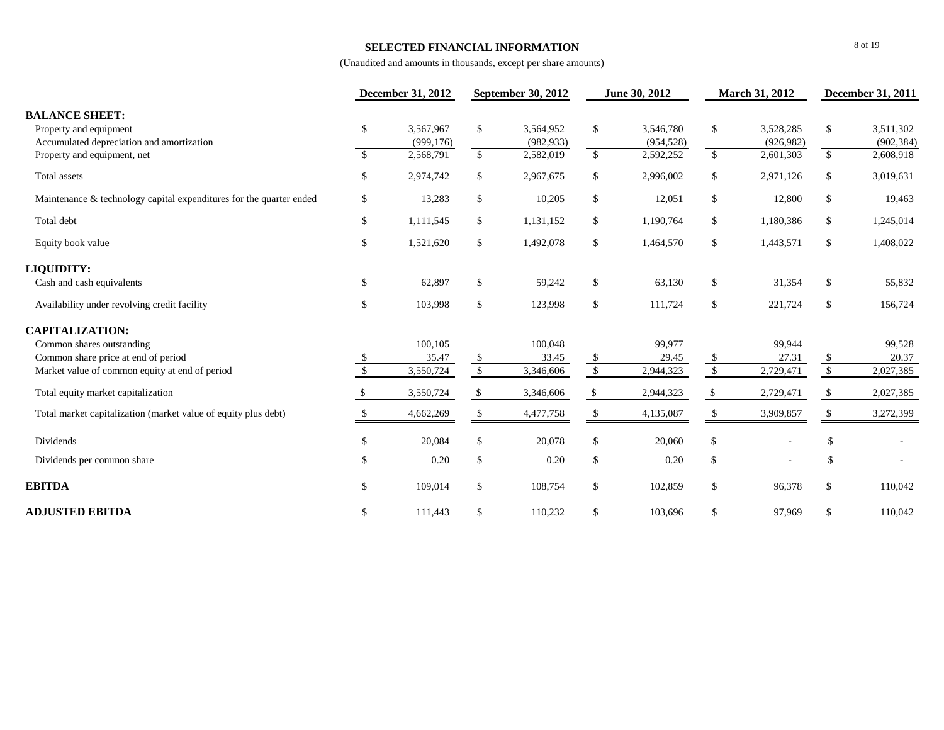#### **SELECTED FINANCIAL INFORMATION**

|                                                                     | December 31, 2012 | September 30, 2012 |            | June 30, 2012 |            | March 31, 2012 |            | December 31, 2011 |            |
|---------------------------------------------------------------------|-------------------|--------------------|------------|---------------|------------|----------------|------------|-------------------|------------|
| <b>BALANCE SHEET:</b>                                               |                   |                    |            |               |            |                |            |                   |            |
| Property and equipment                                              | \$<br>3,567,967   | \$                 | 3,564,952  | $\mathbb{S}$  | 3,546,780  | \$             | 3,528,285  | $\mathbb{S}$      | 3,511,302  |
| Accumulated depreciation and amortization                           | (999, 176)        |                    | (982, 933) |               | (954, 528) |                | (926, 982) |                   | (902, 384) |
| Property and equipment, net                                         | \$<br>2,568,791   | $\mathbb{S}$       | 2,582,019  | $\mathbb{S}$  | 2,592,252  | $\mathbb{S}$   | 2,601,303  | \$                | 2,608,918  |
| Total assets                                                        | \$<br>2,974,742   | \$                 | 2,967,675  | \$            | 2,996,002  | \$             | 2,971,126  | $\mathbb{S}$      | 3,019,631  |
| Maintenance & technology capital expenditures for the quarter ended | \$<br>13,283      | \$                 | 10,205     | $\mathbb{S}$  | 12,051     | \$             | 12,800     | \$                | 19,463     |
| Total debt                                                          | \$<br>1,111,545   | \$                 | 1,131,152  | \$            | 1,190,764  | \$             | 1,180,386  | \$                | 1,245,014  |
| Equity book value                                                   | \$<br>1,521,620   | $\mathbb{S}$       | 1,492,078  | $\mathbb{S}$  | 1,464,570  | \$             | 1,443,571  | $\mathbb{S}$      | 1,408,022  |
| LIQUIDITY:                                                          |                   |                    |            |               |            |                |            |                   |            |
| Cash and cash equivalents                                           | \$<br>62,897      | \$                 | 59,242     | \$            | 63,130     | \$             | 31,354     | \$                | 55,832     |
| Availability under revolving credit facility                        | \$<br>103,998     | \$                 | 123,998    | \$            | 111,724    | \$             | 221,724    | \$                | 156,724    |
| <b>CAPITALIZATION:</b>                                              |                   |                    |            |               |            |                |            |                   |            |
| Common shares outstanding                                           | 100,105           |                    | 100,048    |               | 99,977     |                | 99,944     |                   | 99,528     |
| Common share price at end of period                                 | \$<br>35.47       | \$                 | 33.45      | \$            | 29.45      | \$             | 27.31      | \$                | 20.37      |
| Market value of common equity at end of period                      | \$<br>3,550,724   | $\sqrt{3}$         | 3,346,606  | $\sqrt{2}$    | 2,944,323  | $\sqrt{3}$     | 2,729,471  | \$                | 2,027,385  |
| Total equity market capitalization                                  | \$<br>3,550,724   | $\mathcal{S}$      | 3,346,606  | \$            | 2,944,323  | $\mathbb{S}$   | 2,729,471  | \$                | 2,027,385  |
| Total market capitalization (market value of equity plus debt)      | 4,662,269         | \$                 | 4,477,758  | \$            | 4,135,087  | <sup>\$</sup>  | 3,909,857  |                   | 3,272,399  |
| Dividends                                                           | \$<br>20,084      | \$                 | 20,078     | $\mathbb{S}$  | 20,060     | $\mathbb{S}$   |            | \$.               |            |
| Dividends per common share                                          | \$<br>0.20        | \$                 | 0.20       | \$            | 0.20       | \$             |            | \$                |            |
| <b>EBITDA</b>                                                       | \$<br>109,014     | \$                 | 108,754    | $\mathbb{S}$  | 102,859    | \$             | 96,378     | \$                | 110,042    |
| <b>ADJUSTED EBITDA</b>                                              | \$<br>111,443     | \$                 | 110,232    | \$            | 103,696    | <sup>\$</sup>  | 97,969     | \$                | 110,042    |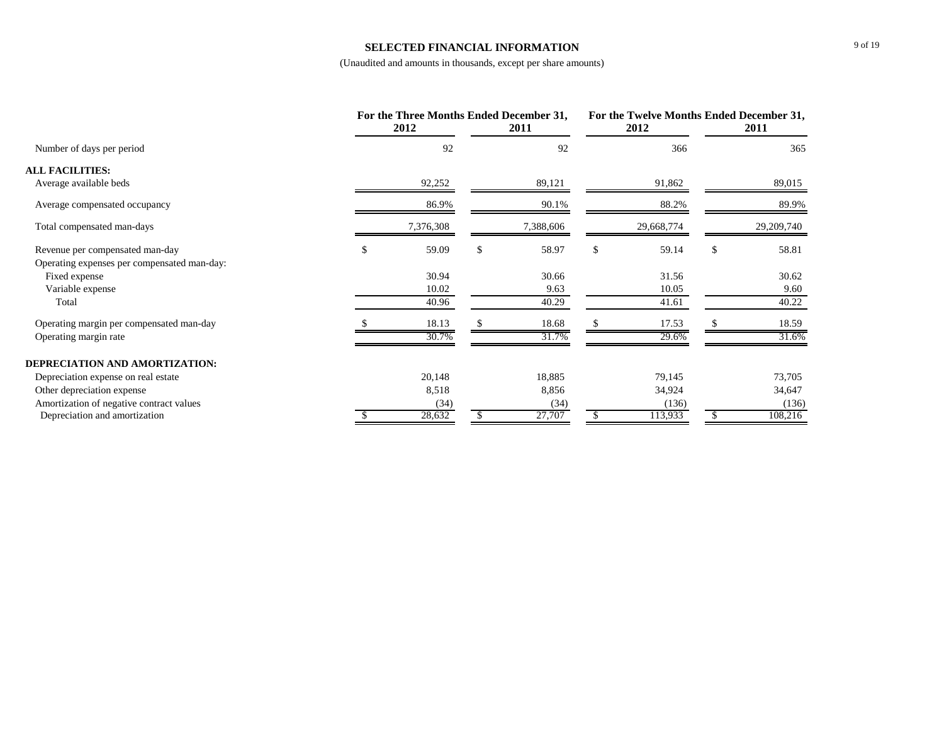#### **SELECTED FINANCIAL INFORMATION**

|                                             | For the Three Months Ended December 31,<br>2012 |     | 2011      |              | For the Twelve Months Ended December 31,<br>2012 | <b>2011</b> |
|---------------------------------------------|-------------------------------------------------|-----|-----------|--------------|--------------------------------------------------|-------------|
| Number of days per period                   | 92                                              |     | 92        |              | 366                                              | 365         |
| <b>ALL FACILITIES:</b>                      |                                                 |     |           |              |                                                  |             |
| Average available beds                      | 92,252                                          |     | 89,121    |              | 91,862                                           | 89,015      |
| Average compensated occupancy               | 86.9%                                           |     | 90.1%     |              | 88.2%                                            | 89.9%       |
| Total compensated man-days                  | 7,376,308                                       |     | 7,388,606 |              | 29,668,774                                       | 29,209,740  |
| Revenue per compensated man-day             | \$<br>59.09                                     | \$. | 58.97     | $\mathbb{S}$ | 59.14                                            | \$<br>58.81 |
| Operating expenses per compensated man-day: | 30.94                                           |     | 30.66     |              | 31.56                                            | 30.62       |
| Fixed expense                               | 10.02                                           |     |           |              | 10.05                                            |             |
| Variable expense<br>Total                   |                                                 |     | 9.63      |              |                                                  | 9.60        |
|                                             | 40.96                                           |     | 40.29     |              | 41.61                                            | 40.22       |
| Operating margin per compensated man-day    | 18.13                                           |     | 18.68     |              | 17.53                                            | 18.59       |
| Operating margin rate                       | 30.7%                                           |     | 31.7%     |              | 29.6%                                            | 31.6%       |
| DEPRECIATION AND AMORTIZATION:              |                                                 |     |           |              |                                                  |             |
| Depreciation expense on real estate         | 20,148                                          |     | 18,885    |              | 79,145                                           | 73,705      |
| Other depreciation expense                  | 8,518                                           |     | 8,856     |              | 34,924                                           | 34,647      |
| Amortization of negative contract values    | (34)                                            |     | (34)      |              | (136)                                            | (136)       |
| Depreciation and amortization               | 28,632                                          |     | 27,707    |              | 113,933                                          | 108,216     |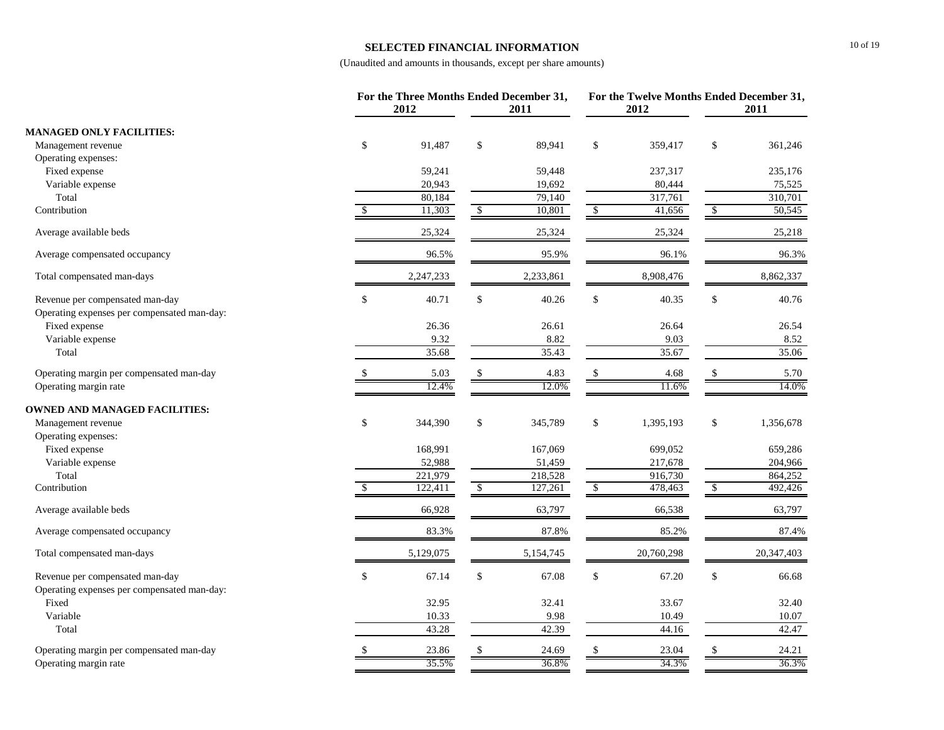#### **SELECTED FINANCIAL INFORMATION**

|                                                                                |                    | For the Three Months Ended December 31,<br>2012<br>2011 |            |           | For the Twelve Months Ended December 31,<br>2012<br>2011 |            |      |            |
|--------------------------------------------------------------------------------|--------------------|---------------------------------------------------------|------------|-----------|----------------------------------------------------------|------------|------|------------|
|                                                                                |                    |                                                         |            |           |                                                          |            |      |            |
| <b>MANAGED ONLY FACILITIES:</b>                                                |                    |                                                         |            |           |                                                          |            |      |            |
| Management revenue                                                             | \$                 | 91,487                                                  | \$         | 89,941    | \$                                                       | 359,417    | \$   | 361,246    |
| Operating expenses:                                                            |                    |                                                         |            |           |                                                          |            |      |            |
| Fixed expense                                                                  |                    | 59,241                                                  |            | 59,448    |                                                          | 237,317    |      | 235,176    |
| Variable expense                                                               |                    | 20,943                                                  |            | 19,692    |                                                          | 80,444     |      | 75,525     |
| Total                                                                          |                    | 80,184                                                  |            | 79,140    |                                                          | 317,761    |      | 310,701    |
| Contribution                                                                   | <sup>\$</sup>      | 11,303                                                  | $\sqrt{s}$ | 10,801    | $\sqrt[6]{3}$                                            | 41,656     | \$   | 50,545     |
| Average available beds                                                         |                    | 25,324                                                  |            | 25,324    |                                                          | 25,324     |      | 25,218     |
| Average compensated occupancy                                                  |                    | 96.5%                                                   |            | 95.9%     |                                                          | 96.1%      |      | 96.3%      |
| Total compensated man-days                                                     |                    | 2,247,233                                               |            | 2,233,861 |                                                          | 8,908,476  |      | 8,862,337  |
| Revenue per compensated man-day<br>Operating expenses per compensated man-day: | \$                 | 40.71                                                   | \$         | 40.26     | $\mathbb{S}$                                             | 40.35      | \$   | 40.76      |
| Fixed expense                                                                  |                    | 26.36                                                   |            | 26.61     |                                                          | 26.64      |      | 26.54      |
| Variable expense                                                               |                    | 9.32                                                    |            | 8.82      |                                                          | 9.03       |      | 8.52       |
| Total                                                                          |                    | 35.68                                                   |            | 35.43     |                                                          | 35.67      |      | 35.06      |
| Operating margin per compensated man-day                                       | S                  | 5.03                                                    | \$         | 4.83      | \$                                                       | 4.68       | \$   | 5.70       |
| Operating margin rate                                                          |                    | 12.4%                                                   |            | 12.0%     |                                                          | 11.6%      |      | 14.0%      |
| <b>OWNED AND MANAGED FACILITIES:</b>                                           |                    |                                                         |            |           |                                                          |            |      |            |
| Management revenue                                                             | $\$$               | 344,390                                                 | \$         | 345,789   | $\$$                                                     | 1,395,193  | $\$$ | 1,356,678  |
| Operating expenses:                                                            |                    |                                                         |            |           |                                                          |            |      |            |
| Fixed expense                                                                  |                    | 168,991                                                 |            | 167,069   |                                                          | 699,052    |      | 659,286    |
| Variable expense                                                               |                    | 52,988                                                  |            | 51,459    |                                                          | 217,678    |      | 204,966    |
| Total                                                                          |                    | 221,979                                                 |            | 218,528   |                                                          | 916,730    |      | 864,252    |
| Contribution                                                                   | $\mathbf{\hat{S}}$ | 122,411                                                 | $\sqrt{3}$ | 127,261   | $\sqrt{3}$                                               | 478,463    | \$   | 492,426    |
| Average available beds                                                         |                    | 66,928                                                  |            | 63,797    |                                                          | 66,538     |      | 63,797     |
| Average compensated occupancy                                                  |                    | 83.3%                                                   |            | 87.8%     |                                                          | 85.2%      |      | 87.4%      |
| Total compensated man-days                                                     |                    | 5,129,075                                               |            | 5,154,745 |                                                          | 20,760,298 |      | 20,347,403 |
| Revenue per compensated man-day                                                | \$                 | 67.14                                                   | \$         | 67.08     | $\$$                                                     | 67.20      | \$   | 66.68      |
| Operating expenses per compensated man-day:                                    |                    |                                                         |            |           |                                                          |            |      |            |
| Fixed                                                                          |                    | 32.95                                                   |            | 32.41     |                                                          | 33.67      |      | 32.40      |
| Variable                                                                       |                    | 10.33                                                   |            | 9.98      |                                                          | 10.49      |      | 10.07      |
| Total                                                                          |                    | 43.28                                                   |            | 42.39     |                                                          | 44.16      |      | 42.47      |
| Operating margin per compensated man-day                                       |                    | 23.86                                                   |            | 24.69     |                                                          | 23.04      |      | 24.21      |
| Operating margin rate                                                          |                    | 35.5%                                                   |            | 36.8%     |                                                          | 34.3%      |      | 36.3%      |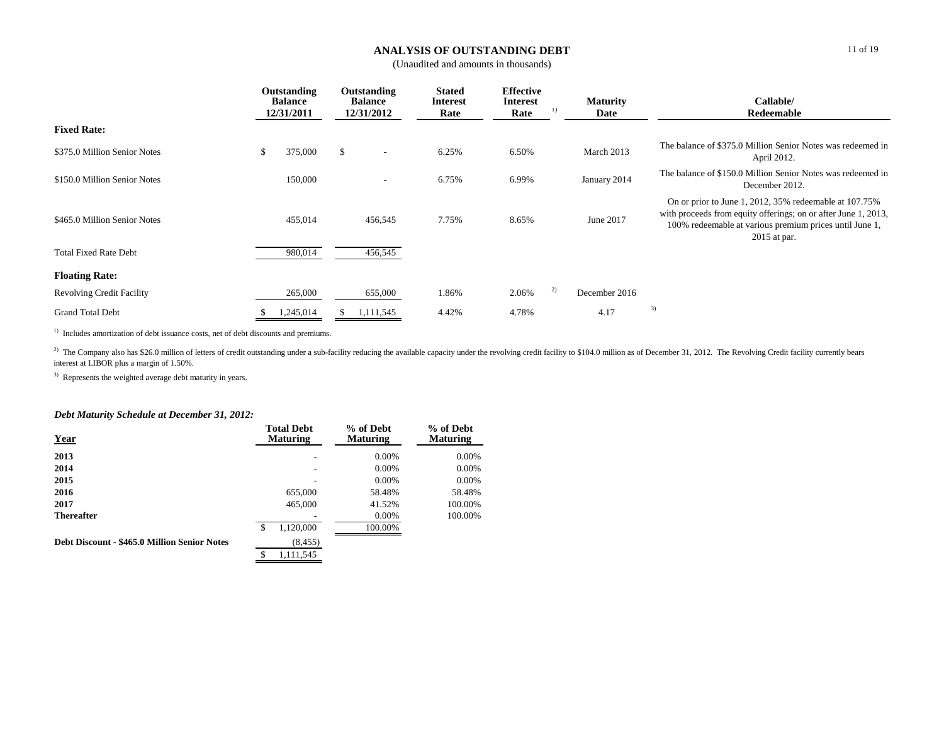#### **ANALYSIS OF OUTSTANDING DEBT**

(Unaudited and amounts in thousands)

|                                  | Outstanding<br><b>Balance</b><br>12/31/2011 | Outstanding<br><b>Balance</b><br>12/31/2012 | <b>Stated</b><br>Interest<br>Rate | <b>Effective</b><br>Interest<br>$\left  \right $<br>Rate | <b>Maturity</b><br>Date | Callable/<br>Redeemable                                                                                                                                                                               |
|----------------------------------|---------------------------------------------|---------------------------------------------|-----------------------------------|----------------------------------------------------------|-------------------------|-------------------------------------------------------------------------------------------------------------------------------------------------------------------------------------------------------|
| <b>Fixed Rate:</b>               |                                             |                                             |                                   |                                                          |                         |                                                                                                                                                                                                       |
| \$375.0 Million Senior Notes     | 375,000<br>\$                               | \$<br>$\overline{\phantom{0}}$              | 6.25%                             | 6.50%                                                    | March 2013              | The balance of \$375.0 Million Senior Notes was redeemed in<br>April 2012.                                                                                                                            |
| \$150.0 Million Senior Notes     | 150,000                                     | $\overline{\phantom{a}}$                    | 6.75%                             | 6.99%                                                    | January 2014            | The balance of \$150.0 Million Senior Notes was redeemed in<br>December 2012.                                                                                                                         |
| \$465.0 Million Senior Notes     | 455,014                                     | 456,545                                     | 7.75%                             | 8.65%                                                    | June 2017               | On or prior to June 1, 2012, 35% redeemable at 107.75%<br>with proceeds from equity offerings; on or after June 1, 2013,<br>100% redeemable at various premium prices until June 1,<br>$2015$ at par. |
| <b>Total Fixed Rate Debt</b>     | 980,014                                     | 456,545                                     |                                   |                                                          |                         |                                                                                                                                                                                                       |
| <b>Floating Rate:</b>            |                                             |                                             |                                   |                                                          |                         |                                                                                                                                                                                                       |
| <b>Revolving Credit Facility</b> | 265,000                                     | 655,000                                     | 1.86%                             | 2)<br>2.06%                                              | December 2016           |                                                                                                                                                                                                       |
| <b>Grand Total Debt</b>          | 1,245,014                                   | 1,111,545                                   | 4.42%                             | 4.78%                                                    | 4.17                    | 3)                                                                                                                                                                                                    |

<sup>1)</sup> Includes amortization of debt issuance costs, net of debt discounts and premiums.

<sup>2)</sup> The Company also has \$26.0 million of letters of credit outstanding under a sub-facility reducing the available capacity under the revolving credit facility to \$104.0 million as of December 31, 2012. The Revolving Cre interest at LIBOR plus a margin of 1.50%.

<sup>3)</sup> Represents the weighted average debt maturity in years.

#### *Debt Maturity Schedule at December 31, 2012:*

| Year                                         | <b>Total Debt</b><br><b>Maturing</b> | % of Debt<br><b>Maturing</b> | % of Debt<br><b>Maturing</b> |
|----------------------------------------------|--------------------------------------|------------------------------|------------------------------|
| 2013                                         |                                      | $0.00\%$                     | 0.00%                        |
| 2014                                         |                                      | $0.00\%$                     | 0.00%                        |
| 2015                                         |                                      | $0.00\%$                     | 0.00%                        |
| 2016                                         | 655,000                              | 58.48%                       | 58.48%                       |
| 2017                                         | 465,000                              | 41.52%                       | 100.00%                      |
| <b>Thereafter</b>                            |                                      | 0.00%                        | 100.00%                      |
|                                              | \$<br>1,120,000                      | 100.00%                      |                              |
| Debt Discount - \$465.0 Million Senior Notes | (8.455)                              |                              |                              |
|                                              | 1.111.545<br>\$                      |                              |                              |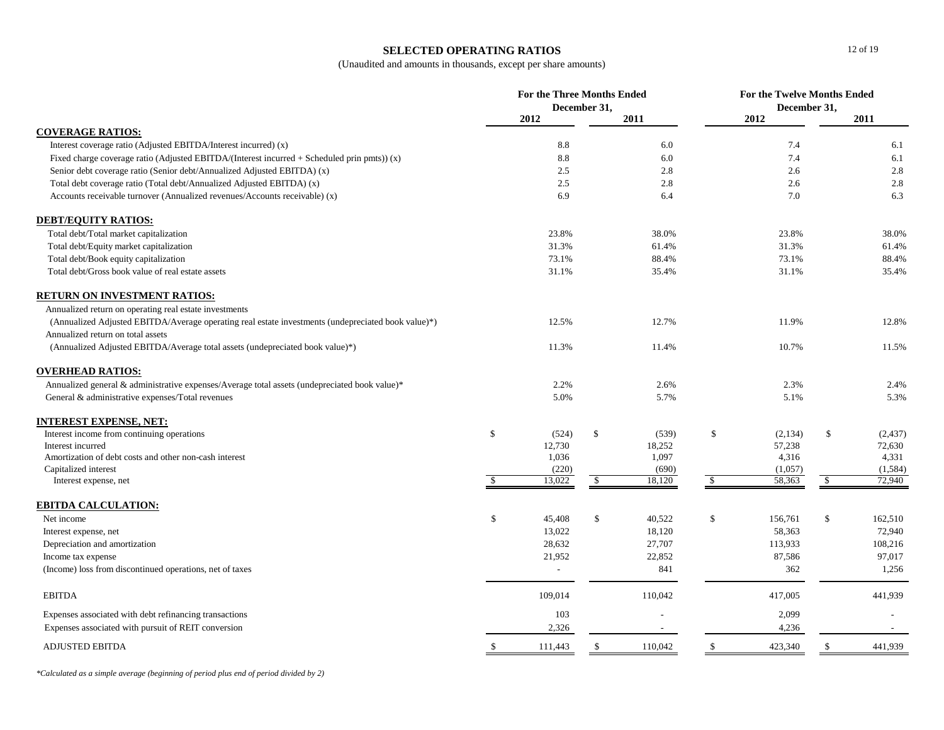## **SELECTED OPERATING RATIOS**

(Unaudited and amounts in thousands, except per share amounts)

|                                                                                                    | <b>For the Three Months Ended</b><br>December 31, |                |              | <b>For the Twelve Months Ended</b><br>December 31, |         |            |         |
|----------------------------------------------------------------------------------------------------|---------------------------------------------------|----------------|--------------|----------------------------------------------------|---------|------------|---------|
|                                                                                                    |                                                   | 2012           | 2011         |                                                    | 2012    |            | 2011    |
| <b>COVERAGE RATIOS:</b>                                                                            |                                                   |                |              |                                                    |         |            |         |
| Interest coverage ratio (Adjusted EBITDA/Interest incurred) (x)                                    |                                                   | 8.8            | 6.0          |                                                    | 7.4     |            | 6.1     |
| Fixed charge coverage ratio (Adjusted EBITDA/(Interest incurred $+$ Scheduled prin pmts)) (x)      |                                                   | 8.8            | 6.0          |                                                    | 7.4     |            | 6.1     |
| Senior debt coverage ratio (Senior debt/Annualized Adjusted EBITDA) (x)                            |                                                   | 2.5            | 2.8          |                                                    | 2.6     |            | 2.8     |
| Total debt coverage ratio (Total debt/Annualized Adjusted EBITDA) (x)                              |                                                   | 2.5            | 2.8          |                                                    | 2.6     |            | 2.8     |
| Accounts receivable turnover (Annualized revenues/Accounts receivable) (x)                         |                                                   | 6.9            | 6.4          |                                                    | 7.0     |            | 6.3     |
| <b>DEBT/EQUITY RATIOS:</b>                                                                         |                                                   |                |              |                                                    |         |            |         |
| Total debt/Total market capitalization                                                             |                                                   | 23.8%          | 38.0%        |                                                    | 23.8%   |            | 38.0%   |
| Total debt/Equity market capitalization                                                            |                                                   | 31.3%          | 61.4%        |                                                    | 31.3%   |            | 61.4%   |
| Total debt/Book equity capitalization                                                              |                                                   | 73.1%          | 88.4%        |                                                    | 73.1%   |            | 88.4%   |
| Total debt/Gross book value of real estate assets                                                  |                                                   | 31.1%          | 35.4%        |                                                    | 31.1%   |            | 35.4%   |
| <b>RETURN ON INVESTMENT RATIOS:</b>                                                                |                                                   |                |              |                                                    |         |            |         |
| Annualized return on operating real estate investments                                             |                                                   |                |              |                                                    |         |            |         |
| (Annualized Adjusted EBITDA/Average operating real estate investments (undepreciated book value)*) |                                                   | 12.5%          | 12.7%        |                                                    | 11.9%   |            | 12.8%   |
| Annualized return on total assets                                                                  |                                                   |                |              |                                                    |         |            |         |
| (Annualized Adjusted EBITDA/Average total assets (undepreciated book value)*)                      |                                                   | 11.3%          | 11.4%        |                                                    | 10.7%   |            | 11.5%   |
| <b>OVERHEAD RATIOS:</b>                                                                            |                                                   |                |              |                                                    |         |            |         |
| Annualized general & administrative expenses/Average total assets (undepreciated book value)*      |                                                   | 2.2%           | 2.6%         |                                                    | 2.3%    |            | 2.4%    |
| General & administrative expenses/Total revenues                                                   |                                                   | 5.0%           | 5.7%         |                                                    | 5.1%    |            | 5.3%    |
| <u>INTEREST EXPENSE, NET:</u>                                                                      |                                                   |                |              |                                                    |         |            |         |
| Interest income from continuing operations                                                         | \$                                                | (524)          | \$<br>(539)  | \$                                                 | (2,134) | \$         | (2,437) |
| Interest incurred                                                                                  |                                                   | 12,730         | 18,252       |                                                    | 57,238  |            | 72,630  |
| Amortization of debt costs and other non-cash interest                                             |                                                   | 1,036          | 1,097        |                                                    | 4,316   |            | 4,331   |
| Capitalized interest                                                                               |                                                   | (220)          | (690)        |                                                    | (1,057) |            | (1,584) |
| Interest expense, net                                                                              |                                                   | 13,022         | \$<br>18,120 | $\sqrt{2}$                                         | 58,363  | $\sqrt{2}$ | 72,940  |
| <b>EBITDA CALCULATION:</b>                                                                         |                                                   |                |              |                                                    |         |            |         |
| Net income                                                                                         | \$                                                | 45,408         | \$<br>40,522 | \$                                                 | 156,761 | \$         | 162,510 |
| Interest expense, net                                                                              |                                                   | 13,022         | 18,120       |                                                    | 58,363  |            | 72,940  |
| Depreciation and amortization                                                                      |                                                   | 28,632         | 27,707       |                                                    | 113,933 |            | 108,216 |
| Income tax expense                                                                                 |                                                   | 21,952         | 22,852       |                                                    | 87,586  |            | 97,017  |
| (Income) loss from discontinued operations, net of taxes                                           |                                                   | $\overline{a}$ | 841          |                                                    | 362     |            | 1,256   |
| <b>EBITDA</b>                                                                                      |                                                   | 109,014        | 110,042      |                                                    | 417,005 |            | 441,939 |
| Expenses associated with debt refinancing transactions                                             |                                                   | 103            |              |                                                    | 2,099   |            |         |
| Expenses associated with pursuit of REIT conversion                                                |                                                   | 2,326          |              |                                                    | 4,236   |            |         |
| <b>ADJUSTED EBITDA</b>                                                                             | \$                                                | 111,443        | 110,042      | $\mathbb{S}$                                       | 423,340 | \$         | 441,939 |

*\*Calculated as a simple average (beginning of period plus end of period divided by 2)*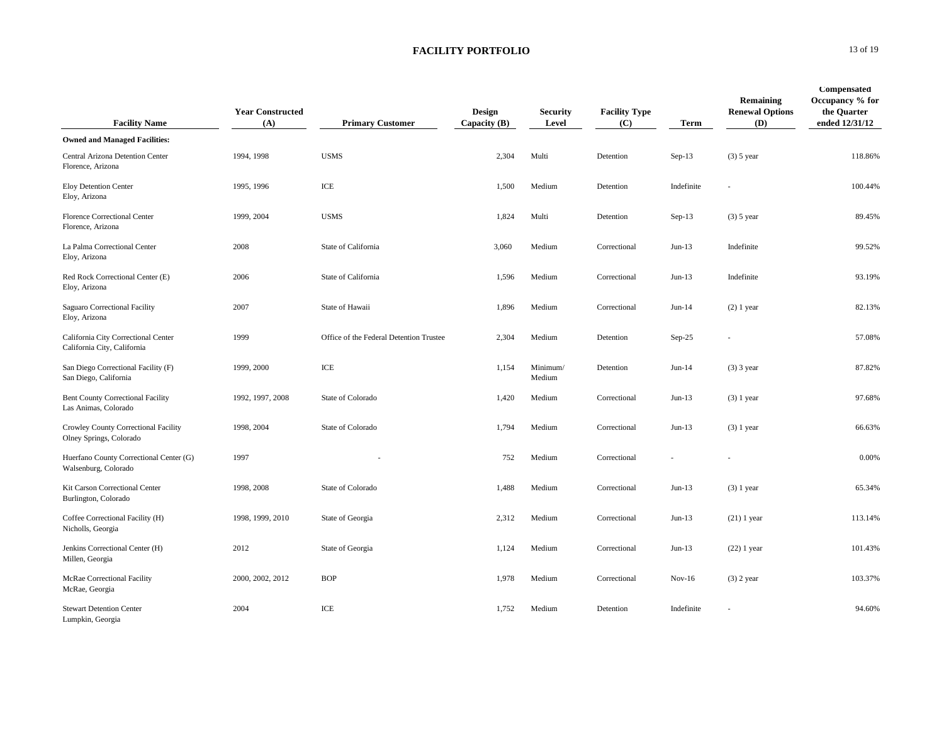#### **FACILITY PORTFOLIO** 13 of 19

| <b>Facility Name</b>                                               | <b>Year Constructed</b><br>(A) | <b>Primary Customer</b>                 | Design<br>Capacity (B) | <b>Security</b><br>Level | <b>Facility Type</b><br>(C) | Term       | Remaining<br><b>Renewal Options</b><br>(D) | Compensated<br>Occupancy % for<br>the Quarter<br>ended 12/31/12 |
|--------------------------------------------------------------------|--------------------------------|-----------------------------------------|------------------------|--------------------------|-----------------------------|------------|--------------------------------------------|-----------------------------------------------------------------|
| <b>Owned and Managed Facilities:</b>                               |                                |                                         |                        |                          |                             |            |                                            |                                                                 |
| Central Arizona Detention Center<br>Florence, Arizona              | 1994, 1998                     | <b>USMS</b>                             | 2,304                  | Multi                    | Detention                   | $Sep-13$   | $(3)$ 5 year                               | 118.86%                                                         |
| Eloy Detention Center<br>Eloy, Arizona                             | 1995, 1996                     | ICE                                     | 1,500                  | Medium                   | Detention                   | Indefinite |                                            | 100.44%                                                         |
| Florence Correctional Center<br>Florence, Arizona                  | 1999, 2004                     | <b>USMS</b>                             | 1,824                  | Multi                    | Detention                   | $Sep-13$   | $(3)$ 5 year                               | 89.45%                                                          |
| La Palma Correctional Center<br>Eloy, Arizona                      | 2008                           | State of California                     | 3,060                  | Medium                   | Correctional                | $Jun-13$   | Indefinite                                 | 99.52%                                                          |
| Red Rock Correctional Center (E)<br>Eloy, Arizona                  | 2006                           | State of California                     | 1,596                  | Medium                   | Correctional                | $Jun-13$   | Indefinite                                 | 93.19%                                                          |
| Saguaro Correctional Facility<br>Eloy, Arizona                     | 2007                           | State of Hawaii                         | 1,896                  | Medium                   | Correctional                | $Jun-14$   | $(2)$ 1 year                               | 82.13%                                                          |
| California City Correctional Center<br>California City, California | 1999                           | Office of the Federal Detention Trustee | 2,304                  | Medium                   | Detention                   | Sep-25     |                                            | 57.08%                                                          |
| San Diego Correctional Facility (F)<br>San Diego, California       | 1999, 2000                     | ICE                                     | 1,154                  | Minimum/<br>Medium       | Detention                   | $Jun-14$   | $(3)$ 3 year                               | 87.82%                                                          |
| <b>Bent County Correctional Facility</b><br>Las Animas, Colorado   | 1992, 1997, 2008               | State of Colorado                       | 1,420                  | Medium                   | Correctional                | $Jun-13$   | $(3)$ 1 year                               | 97.68%                                                          |
| Crowley County Correctional Facility<br>Olney Springs, Colorado    | 1998, 2004                     | State of Colorado                       | 1,794                  | Medium                   | Correctional                | $Jun-13$   | $(3)$ 1 year                               | 66.63%                                                          |
| Huerfano County Correctional Center (G)<br>Walsenburg, Colorado    | 1997                           |                                         | 752                    | Medium                   | Correctional                |            |                                            | 0.00%                                                           |
| Kit Carson Correctional Center<br>Burlington, Colorado             | 1998, 2008                     | State of Colorado                       | 1,488                  | Medium                   | Correctional                | $Jun-13$   | $(3)$ 1 year                               | 65.34%                                                          |
| Coffee Correctional Facility (H)<br>Nicholls, Georgia              | 1998, 1999, 2010               | State of Georgia                        | 2,312                  | Medium                   | Correctional                | $Jun-13$   | $(21)$ 1 year                              | 113.14%                                                         |
| Jenkins Correctional Center (H)<br>Millen, Georgia                 | 2012                           | State of Georgia                        | 1,124                  | Medium                   | Correctional                | $Jun-13$   | $(22)$ 1 year                              | 101.43%                                                         |
| McRae Correctional Facility<br>McRae, Georgia                      | 2000, 2002, 2012               | <b>BOP</b>                              | 1,978                  | Medium                   | Correctional                | $Nov-16$   | $(3)$ 2 year                               | 103.37%                                                         |
| <b>Stewart Detention Center</b><br>Lumpkin, Georgia                | 2004                           | ICE                                     | 1,752                  | Medium                   | Detention                   | Indefinite |                                            | 94.60%                                                          |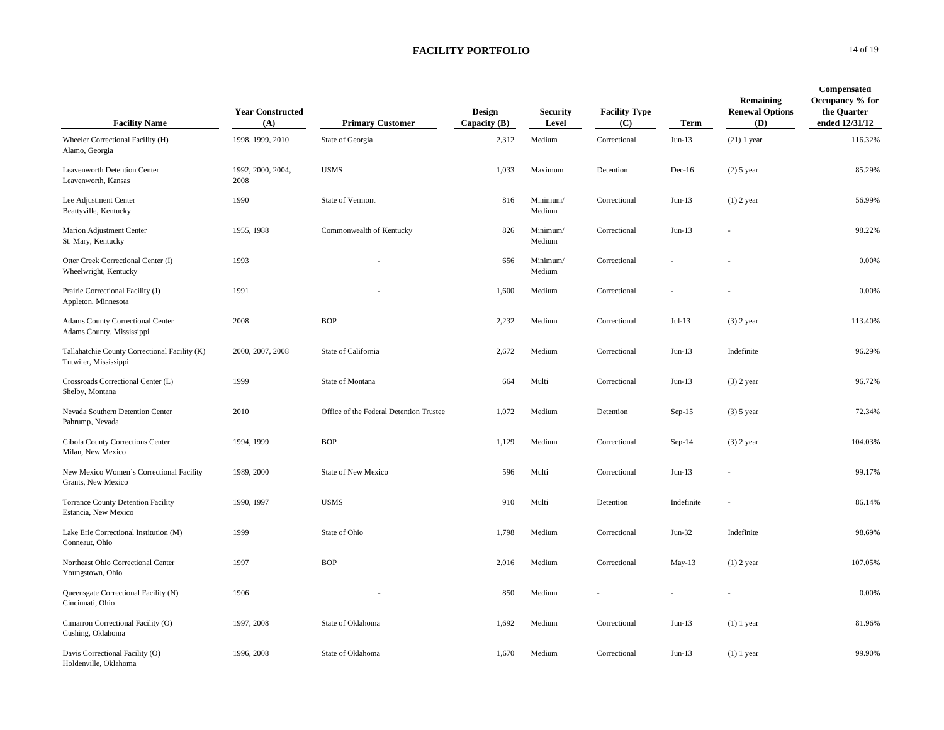#### **FACILITY PORTFOLIO** 14 of 19

| <b>Facility Name</b>                                                   | <b>Year Constructed</b><br>(A) | <b>Primary Customer</b>                 | <b>Design</b><br>Capacity $(B)$ | <b>Security</b><br>Level | <b>Facility Type</b><br>(C) | Term       | Remaining<br><b>Renewal Options</b><br>(D) | Compensated<br>Occupancy % for<br>the Quarter<br>ended 12/31/12 |
|------------------------------------------------------------------------|--------------------------------|-----------------------------------------|---------------------------------|--------------------------|-----------------------------|------------|--------------------------------------------|-----------------------------------------------------------------|
| Wheeler Correctional Facility (H)<br>Alamo, Georgia                    | 1998, 1999, 2010               | State of Georgia                        | 2,312                           | Medium                   | Correctional                | $Jun-13$   | $(21)$ 1 year                              | 116.32%                                                         |
| Leavenworth Detention Center<br>Leavenworth, Kansas                    | 1992, 2000, 2004,<br>2008      | <b>USMS</b>                             | 1,033                           | Maximum                  | Detention                   | $Dec-16$   | $(2)$ 5 year                               | 85.29%                                                          |
| Lee Adjustment Center<br>Beattyville, Kentucky                         | 1990                           | State of Vermont                        | 816                             | Minimum/<br>Medium       | Correctional                | $Jun-13$   | $(1)$ 2 year                               | 56.99%                                                          |
| Marion Adjustment Center<br>St. Mary, Kentucky                         | 1955, 1988                     | Commonwealth of Kentucky                | 826                             | Minimum/<br>Medium       | Correctional                | $Jun-13$   |                                            | 98.22%                                                          |
| Otter Creek Correctional Center (I)<br>Wheelwright, Kentucky           | 1993                           |                                         | 656                             | Minimum/<br>Medium       | Correctional                |            |                                            | 0.00%                                                           |
| Prairie Correctional Facility (J)<br>Appleton, Minnesota               | 1991                           |                                         | 1,600                           | Medium                   | Correctional                |            |                                            | 0.00%                                                           |
| <b>Adams County Correctional Center</b><br>Adams County, Mississippi   | 2008                           | <b>BOP</b>                              | 2,232                           | Medium                   | Correctional                | $Jul-13$   | $(3)$ 2 year                               | 113.40%                                                         |
| Tallahatchie County Correctional Facility (K)<br>Tutwiler, Mississippi | 2000, 2007, 2008               | State of California                     | 2,672                           | Medium                   | Correctional                | $Jun-13$   | Indefinite                                 | 96.29%                                                          |
| Crossroads Correctional Center (L)<br>Shelby, Montana                  | 1999                           | State of Montana                        | 664                             | Multi                    | Correctional                | $Jun-13$   | $(3)$ 2 year                               | 96.72%                                                          |
| Nevada Southern Detention Center<br>Pahrump, Nevada                    | 2010                           | Office of the Federal Detention Trustee | 1,072                           | Medium                   | Detention                   | $Sep-15$   | $(3)$ 5 year                               | 72.34%                                                          |
| Cibola County Corrections Center<br>Milan, New Mexico                  | 1994, 1999                     | <b>BOP</b>                              | 1,129                           | Medium                   | Correctional                | $Sep-14$   | $(3)$ 2 year                               | 104.03%                                                         |
| New Mexico Women's Correctional Facility<br>Grants, New Mexico         | 1989, 2000                     | <b>State of New Mexico</b>              | 596                             | Multi                    | Correctional                | $Jun-13$   |                                            | 99.17%                                                          |
| Torrance County Detention Facility<br>Estancia, New Mexico             | 1990, 1997                     | <b>USMS</b>                             | 910                             | Multi                    | Detention                   | Indefinite |                                            | 86.14%                                                          |
| Lake Erie Correctional Institution (M)<br>Conneaut, Ohio               | 1999                           | State of Ohio                           | 1,798                           | Medium                   | Correctional                | $Jun-32$   | Indefinite                                 | 98.69%                                                          |
| Northeast Ohio Correctional Center<br>Youngstown, Ohio                 | 1997                           | <b>BOP</b>                              | 2,016                           | Medium                   | Correctional                | $May-13$   | $(1)$ 2 year                               | 107.05%                                                         |
| Queensgate Correctional Facility (N)<br>Cincinnati, Ohio               | 1906                           |                                         | 850                             | Medium                   |                             |            |                                            | 0.00%                                                           |
| Cimarron Correctional Facility (O)<br>Cushing, Oklahoma                | 1997, 2008                     | State of Oklahoma                       | 1,692                           | Medium                   | Correctional                | $Jun-13$   | $(1)$ 1 year                               | 81.96%                                                          |
| Davis Correctional Facility (O)<br>Holdenville, Oklahoma               | 1996, 2008                     | State of Oklahoma                       | 1,670                           | Medium                   | Correctional                | $Jun-13$   | $(1)$ 1 year                               | 99.90%                                                          |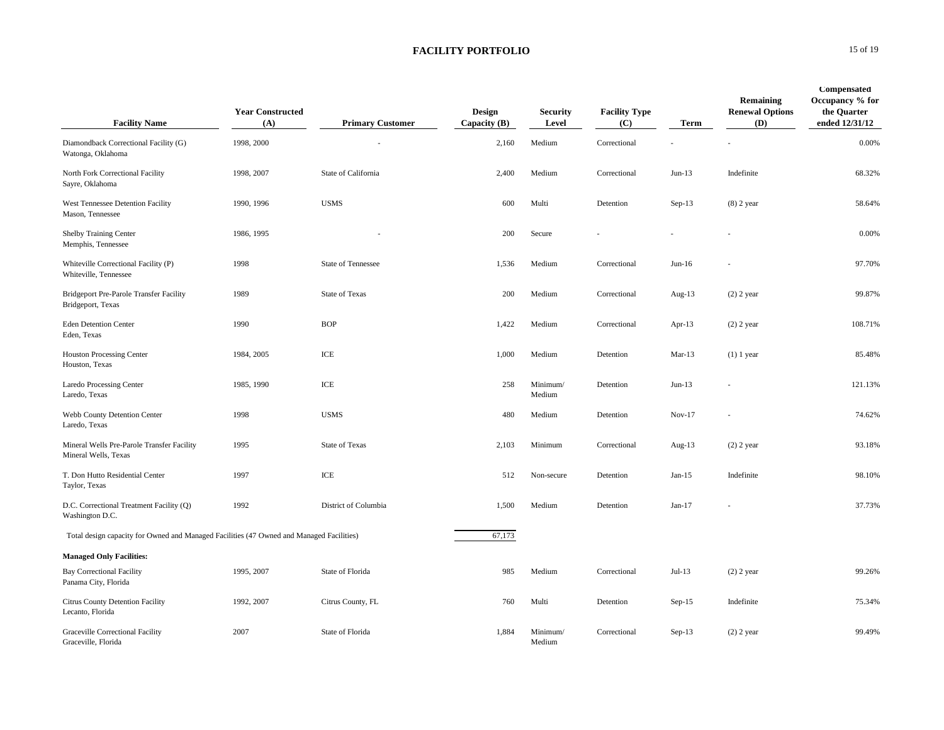#### **FACILITY PORTFOLIO** 15 of 19

| <b>Facility Name</b>                                                                     | <b>Year Constructed</b><br>(A) | <b>Primary Customer</b>   | <b>Design</b><br>Capacity $(B)$ | <b>Security</b><br>Level | <b>Facility Type</b><br>(C) | <b>Term</b> | Remaining<br><b>Renewal Options</b><br>(D) | Compensated<br>Occupancy % for<br>the Quarter<br>ended 12/31/12 |
|------------------------------------------------------------------------------------------|--------------------------------|---------------------------|---------------------------------|--------------------------|-----------------------------|-------------|--------------------------------------------|-----------------------------------------------------------------|
| Diamondback Correctional Facility (G)<br>Watonga, Oklahoma                               | 1998, 2000                     |                           | 2,160                           | Medium                   | Correctional                |             |                                            | 0.00%                                                           |
| North Fork Correctional Facility<br>Sayre, Oklahoma                                      | 1998, 2007                     | State of California       | 2,400                           | Medium                   | Correctional                | $Jun-13$    | Indefinite                                 | 68.32%                                                          |
| West Tennessee Detention Facility<br>Mason, Tennessee                                    | 1990, 1996                     | <b>USMS</b>               | 600                             | Multi                    | Detention                   | $Sep-13$    | $(8)$ 2 year                               | 58.64%                                                          |
| <b>Shelby Training Center</b><br>Memphis, Tennessee                                      | 1986, 1995                     |                           | 200                             | Secure                   |                             |             |                                            | 0.00%                                                           |
| Whiteville Correctional Facility (P)<br>Whiteville, Tennessee                            | 1998                           | <b>State of Tennessee</b> | 1,536                           | Medium                   | Correctional                | $Jun-16$    |                                            | 97.70%                                                          |
| Bridgeport Pre-Parole Transfer Facility<br>Bridgeport, Texas                             | 1989                           | <b>State of Texas</b>     | 200                             | Medium                   | Correctional                | Aug- $13$   | $(2)$ 2 year                               | 99.87%                                                          |
| <b>Eden Detention Center</b><br>Eden, Texas                                              | 1990                           | <b>BOP</b>                | 1,422                           | Medium                   | Correctional                | Apr- $13$   | $(2)$ 2 year                               | 108.71%                                                         |
| <b>Houston Processing Center</b><br>Houston, Texas                                       | 1984, 2005                     | ICE                       | 1,000                           | Medium                   | Detention                   | $Mar-13$    | $(1)$ 1 year                               | 85.48%                                                          |
| Laredo Processing Center<br>Laredo, Texas                                                | 1985, 1990                     | ICE                       | 258                             | Minimum/<br>Medium       | Detention                   | $Jun-13$    |                                            | 121.13%                                                         |
| Webb County Detention Center<br>Laredo, Texas                                            | 1998                           | <b>USMS</b>               | 480                             | Medium                   | Detention                   | $Nov-17$    |                                            | 74.62%                                                          |
| Mineral Wells Pre-Parole Transfer Facility<br>Mineral Wells, Texas                       | 1995                           | <b>State of Texas</b>     | 2,103                           | Minimum                  | Correctional                | Aug- $13$   | $(2)$ 2 year                               | 93.18%                                                          |
| T. Don Hutto Residential Center<br>Taylor, Texas                                         | 1997                           | ICE                       | 512                             | Non-secure               | Detention                   | $Jan-15$    | Indefinite                                 | 98.10%                                                          |
| D.C. Correctional Treatment Facility (Q)<br>Washington D.C.                              | 1992                           | District of Columbia      | 1,500                           | Medium                   | Detention                   | Jan- $17$   |                                            | 37.73%                                                          |
| Total design capacity for Owned and Managed Facilities (47 Owned and Managed Facilities) |                                |                           | 67,173                          |                          |                             |             |                                            |                                                                 |
| <b>Managed Only Facilities:</b>                                                          |                                |                           |                                 |                          |                             |             |                                            |                                                                 |
| <b>Bay Correctional Facility</b><br>Panama City, Florida                                 | 1995, 2007                     | State of Florida          | 985                             | Medium                   | Correctional                | $Jul-13$    | $(2)$ 2 year                               | 99.26%                                                          |
| <b>Citrus County Detention Facility</b><br>Lecanto, Florida                              | 1992, 2007                     | Citrus County, FL         | 760                             | Multi                    | Detention                   | $Sep-15$    | Indefinite                                 | 75.34%                                                          |
| Graceville Correctional Facility<br>Graceville, Florida                                  | 2007                           | State of Florida          | 1,884                           | Minimum/<br>Medium       | Correctional                | $Sep-13$    | $(2)$ 2 year                               | 99.49%                                                          |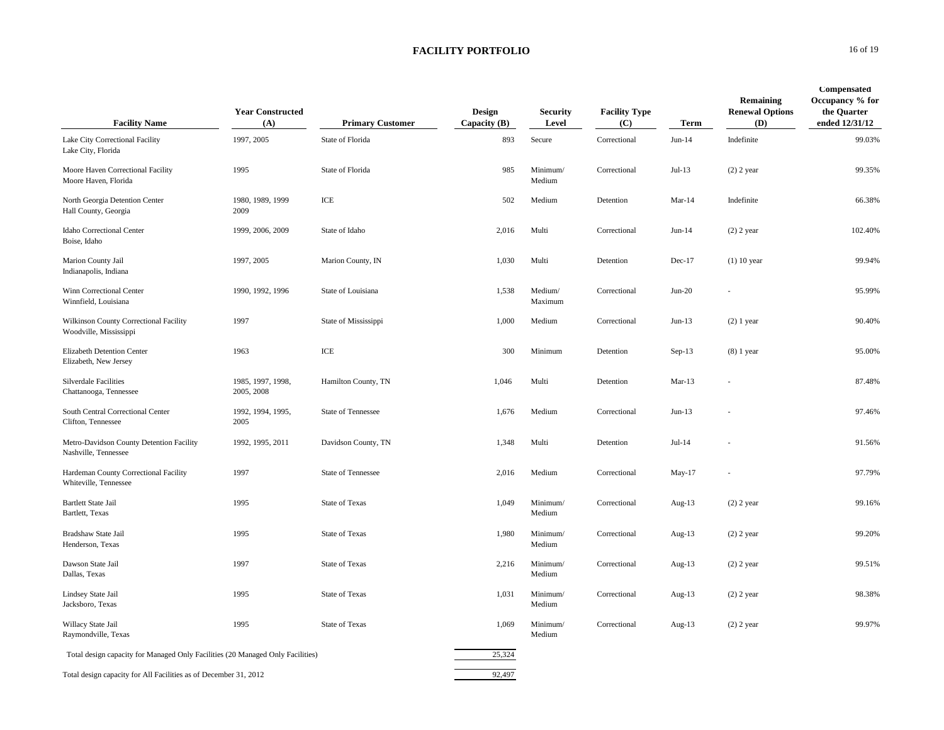#### **FACILITY PORTFOLIO** 16 of 19

| <b>Facility Name</b>                                                           | <b>Year Constructed</b><br>(A)  | <b>Primary Customer</b> | <b>Design</b><br>Capacity $(B)$ | <b>Security</b><br>Level | <b>Facility Type</b><br>(C) | Term      | Remaining<br><b>Renewal Options</b><br>(D) | Compensated<br>Occupancy % for<br>the Quarter<br>ended 12/31/12 |
|--------------------------------------------------------------------------------|---------------------------------|-------------------------|---------------------------------|--------------------------|-----------------------------|-----------|--------------------------------------------|-----------------------------------------------------------------|
| Lake City Correctional Facility<br>Lake City, Florida                          | 1997, 2005                      | State of Florida        | 893                             | Secure                   | Correctional                | $Jun-14$  | Indefinite                                 | 99.03%                                                          |
| Moore Haven Correctional Facility<br>Moore Haven, Florida                      | 1995                            | State of Florida        | 985                             | Minimum/<br>Medium       | Correctional                | $Jul-13$  | $(2)$ 2 year                               | 99.35%                                                          |
| North Georgia Detention Center<br>Hall County, Georgia                         | 1980, 1989, 1999<br>2009        | $\rm ICE$               | 502                             | Medium                   | Detention                   | $Mar-14$  | Indefinite                                 | 66.38%                                                          |
| Idaho Correctional Center<br>Boise, Idaho                                      | 1999, 2006, 2009                | State of Idaho          | 2,016                           | Multi                    | Correctional                | $Jun-14$  | $(2)$ 2 year                               | 102.40%                                                         |
| Marion County Jail<br>Indianapolis, Indiana                                    | 1997, 2005                      | Marion County, IN       | 1,030                           | Multi                    | Detention                   | $Dec-17$  | $(1)$ 10 year                              | 99.94%                                                          |
| Winn Correctional Center<br>Winnfield, Louisiana                               | 1990, 1992, 1996                | State of Louisiana      | 1,538                           | Medium/<br>Maximum       | Correctional                | $Jun-20$  |                                            | 95.99%                                                          |
| Wilkinson County Correctional Facility<br>Woodville, Mississippi               | 1997                            | State of Mississippi    | 1,000                           | Medium                   | Correctional                | $Jun-13$  | $(2)$ 1 year                               | 90.40%                                                          |
| Elizabeth Detention Center<br>Elizabeth, New Jersey                            | 1963                            | ICE                     | 300                             | Minimum                  | Detention                   | $Sep-13$  | $(8)$ 1 year                               | 95.00%                                                          |
| Silverdale Facilities<br>Chattanooga, Tennessee                                | 1985, 1997, 1998,<br>2005, 2008 | Hamilton County, TN     | 1,046                           | Multi                    | Detention                   | $Mar-13$  |                                            | 87.48%                                                          |
| South Central Correctional Center<br>Clifton, Tennessee                        | 1992, 1994, 1995,<br>2005       | State of Tennessee      | 1,676                           | Medium                   | Correctional                | $Jun-13$  |                                            | 97.46%                                                          |
| Metro-Davidson County Detention Facility<br>Nashville, Tennessee               | 1992, 1995, 2011                | Davidson County, TN     | 1,348                           | Multi                    | Detention                   | $Jul-14$  |                                            | 91.56%                                                          |
| Hardeman County Correctional Facility<br>Whiteville, Tennessee                 | 1997                            | State of Tennessee      | 2,016                           | Medium                   | Correctional                | $May-17$  |                                            | 97.79%                                                          |
| <b>Bartlett State Jail</b><br>Bartlett, Texas                                  | 1995                            | <b>State of Texas</b>   | 1,049                           | Minimum/<br>Medium       | Correctional                | Aug-13    | $(2)$ 2 year                               | 99.16%                                                          |
| Bradshaw State Jail<br>Henderson, Texas                                        | 1995                            | <b>State of Texas</b>   | 1,980                           | Minimum/<br>Medium       | Correctional                | Aug- $13$ | $(2)$ 2 year                               | 99.20%                                                          |
| Dawson State Jail<br>Dallas, Texas                                             | 1997                            | <b>State of Texas</b>   | 2,216                           | Minimum/<br>Medium       | Correctional                | Aug-13    | $(2)$ 2 year                               | 99.51%                                                          |
| Lindsey State Jail<br>Jacksboro, Texas                                         | 1995                            | <b>State of Texas</b>   | 1,031                           | Minimum/<br>Medium       | Correctional                | Aug- $13$ | $(2)$ 2 year                               | 98.38%                                                          |
| Willacy State Jail<br>Raymondville, Texas                                      | 1995                            | <b>State of Texas</b>   | 1,069                           | Minimum/<br>Medium       | Correctional                | Aug- $13$ | $(2)$ 2 year                               | 99.97%                                                          |
| Total design capacity for Managed Only Facilities (20 Managed Only Facilities) |                                 |                         | 25,324                          |                          |                             |           |                                            |                                                                 |

Total design capacity for All Facilities as of December 31, 2012 92,497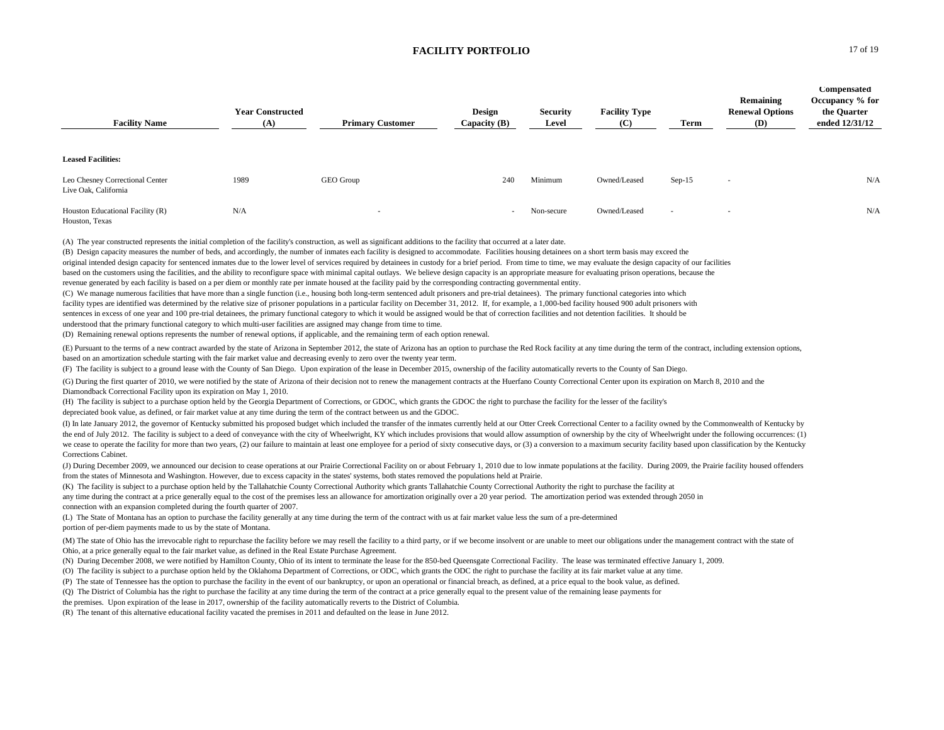#### **FACILITY PORTFOLIO** 17 of 19

| <b>Facility Name</b>                                                                                                                                                                                                                                                                                                                                                                                                                                                                                                                                                                                                                                                                                                                                                                                                                                                                                                                                                                                                                                                                                                                                                                                                                                                                                                                                                                                                                                                                                                                                                                                                                                                                                                                                                                                                                                                                                                            | <b>Year Constructed</b><br>(A) | <b>Primary Customer</b> | Design<br>Capacity $(B)$ | <b>Security</b><br>Level | <b>Facility Type</b><br>(C) | Term     | Remaining<br><b>Renewal Options</b><br>(D) | <b>Compensated</b><br>Occupancy % for<br>the Quarter<br>ended 12/31/12 |
|---------------------------------------------------------------------------------------------------------------------------------------------------------------------------------------------------------------------------------------------------------------------------------------------------------------------------------------------------------------------------------------------------------------------------------------------------------------------------------------------------------------------------------------------------------------------------------------------------------------------------------------------------------------------------------------------------------------------------------------------------------------------------------------------------------------------------------------------------------------------------------------------------------------------------------------------------------------------------------------------------------------------------------------------------------------------------------------------------------------------------------------------------------------------------------------------------------------------------------------------------------------------------------------------------------------------------------------------------------------------------------------------------------------------------------------------------------------------------------------------------------------------------------------------------------------------------------------------------------------------------------------------------------------------------------------------------------------------------------------------------------------------------------------------------------------------------------------------------------------------------------------------------------------------------------|--------------------------------|-------------------------|--------------------------|--------------------------|-----------------------------|----------|--------------------------------------------|------------------------------------------------------------------------|
|                                                                                                                                                                                                                                                                                                                                                                                                                                                                                                                                                                                                                                                                                                                                                                                                                                                                                                                                                                                                                                                                                                                                                                                                                                                                                                                                                                                                                                                                                                                                                                                                                                                                                                                                                                                                                                                                                                                                 |                                |                         |                          |                          |                             |          |                                            |                                                                        |
| <b>Leased Facilities:</b>                                                                                                                                                                                                                                                                                                                                                                                                                                                                                                                                                                                                                                                                                                                                                                                                                                                                                                                                                                                                                                                                                                                                                                                                                                                                                                                                                                                                                                                                                                                                                                                                                                                                                                                                                                                                                                                                                                       |                                |                         |                          |                          |                             |          |                                            |                                                                        |
| Leo Chesney Correctional Center<br>Live Oak, California                                                                                                                                                                                                                                                                                                                                                                                                                                                                                                                                                                                                                                                                                                                                                                                                                                                                                                                                                                                                                                                                                                                                                                                                                                                                                                                                                                                                                                                                                                                                                                                                                                                                                                                                                                                                                                                                         | 1989                           | GEO Group               | 240                      | Minimum                  | Owned/Leased                | $Sep-15$ |                                            | N/A                                                                    |
| Houston Educational Facility (R)<br>Houston, Texas                                                                                                                                                                                                                                                                                                                                                                                                                                                                                                                                                                                                                                                                                                                                                                                                                                                                                                                                                                                                                                                                                                                                                                                                                                                                                                                                                                                                                                                                                                                                                                                                                                                                                                                                                                                                                                                                              | N/A                            |                         |                          | Non-secure               | Owned/Leased                |          |                                            | N/A                                                                    |
| (A) The year constructed represents the initial completion of the facility's construction, as well as significant additions to the facility that occurred at a later date.<br>(B) Design capacity measures the number of beds, and accordingly, the number of inmates each facility is designed to accommodate. Facilities housing detainees on a short term basis may exceed the<br>original intended design capacity for sentenced inmates due to the lower level of services required by detainees in custody for a brief period. From time to time, we may evaluate the design capacity of our facilities<br>based on the customers using the facilities, and the ability to reconfigure space with minimal capital outlays. We believe design capacity is an appropriate measure for evaluating prison operations, because the<br>revenue generated by each facility is based on a per diem or monthly rate per inmate housed at the facility paid by the corresponding contracting governmental entity.<br>(C) We manage numerous facilities that have more than a single function (i.e., housing both long-term sentenced adult prisoners and pre-trial detainees). The primary functional categories into which<br>facility types are identified was determined by the relative size of prisoner populations in a particular facility on December 31, 2012. If, for example, a 1,000-bed facility housed 900 adult prisoners with<br>sentences in excess of one year and 100 pre-trial detainees, the primary functional category to which it would be assigned would be that of correction facilities and not detention facilities. It should be<br>understood that the primary functional category to which multi-user facilities are assigned may change from time to time.<br>(D) Remaining renewal options represents the number of renewal options, if applicable, and the remaining term of each option renewal. |                                |                         |                          |                          |                             |          |                                            |                                                                        |
| (E) Pursuant to the terms of a new contract awarded by the state of Arizona in September 2012, the state of Arizona has an option to purchase the Red Rock facility at any time during the term of the contract, including ext<br>based on an amortization schedule starting with the fair market value and decreasing evenly to zero over the twenty year term.                                                                                                                                                                                                                                                                                                                                                                                                                                                                                                                                                                                                                                                                                                                                                                                                                                                                                                                                                                                                                                                                                                                                                                                                                                                                                                                                                                                                                                                                                                                                                                |                                |                         |                          |                          |                             |          |                                            |                                                                        |
| (F) The facility is subject to a ground lease with the County of San Diego. Upon expiration of the lease in December 2015, ownership of the facility automatically reverts to the County of San Diego.<br>(G) During the first quarter of 2010, we were notified by the state of Arizona of their decision not to renew the management contracts at the Huerfano County Correctional Center upon its expiration on March 8, 2010 and the<br>Diamondback Correctional Facility upon its expiration on May 1, 2010.<br>(H) The facility is subject to a purchase option held by the Georgia Department of Corrections, or GDOC, which grants the GDOC the right to purchase the facility for the lesser of the facility's<br>depreciated book value, as defined, or fair market value at any time during the term of the contract between us and the GDOC.                                                                                                                                                                                                                                                                                                                                                                                                                                                                                                                                                                                                                                                                                                                                                                                                                                                                                                                                                                                                                                                                        |                                |                         |                          |                          |                             |          |                                            |                                                                        |
| (I) In late January 2012, the governor of Kentucky submitted his proposed budget which included the transfer of the inmates currently held at our Otter Creek Correctional Center to a facility owned by the Commonwealth of K<br>the end of July 2012. The facility is subject to a deed of conveyance with the city of Wheelwright, KY which includes provisions that would allow assumption of ownership by the city of Wheelwright under the following occur<br>we cease to operate the facility for more than two years, (2) our failure to maintain at least one employee for a period of sixty consecutive days, or (3) a conversion to a maximum security facility based upon classificati<br>Corrections Cabinet.                                                                                                                                                                                                                                                                                                                                                                                                                                                                                                                                                                                                                                                                                                                                                                                                                                                                                                                                                                                                                                                                                                                                                                                                      |                                |                         |                          |                          |                             |          |                                            |                                                                        |
| (J) During December 2009, we announced our decision to cease operations at our Prairie Correctional Facility on or about February 1, 2010 due to low inmate populations at the facility. During 2009, the Prairie facility hou<br>from the states of Minnesota and Washington. However, due to excess capacity in the states' systems, both states removed the populations held at Prairie.<br>(K) The facility is subject to a purchase option held by the Tallahatchie County Correctional Authority which grants Tallahatchie County Correctional Authority the right to purchase the facility at<br>any time during the contract at a price generally equal to the cost of the premises less an allowance for amortization originally over a 20 year period. The amortization period was extended through 2050 in<br>connection with an expansion completed during the fourth quarter of 2007.<br>(L) The State of Montana has an option to purchase the facility generally at any time during the term of the contract with us at fair market value less the sum of a pre-determined<br>portion of per-diem payments made to us by the state of Montana.                                                                                                                                                                                                                                                                                                                                                                                                                                                                                                                                                                                                                                                                                                                                                                   |                                |                         |                          |                          |                             |          |                                            |                                                                        |
| (M) The state of Ohio has the irrevocable right to repurchase the facility before we may resell the facility to a third party, or if we become insolvent or are unable to meet our obligations under the management contract w<br>Ohio, at a price generally equal to the fair market value, as defined in the Real Estate Purchase Agreement.<br>(N) During December 2008, we were notified by Hamilton County, Ohio of its intent to terminate the lease for the 850-bed Queensgate Correctional Facility. The lease was terminated effective January 1, 2009.                                                                                                                                                                                                                                                                                                                                                                                                                                                                                                                                                                                                                                                                                                                                                                                                                                                                                                                                                                                                                                                                                                                                                                                                                                                                                                                                                                |                                |                         |                          |                          |                             |          |                                            |                                                                        |

(O) The facility is subject to a purchase option held by the Oklahoma Department of Corrections, or ODC, which grants the ODC the right to purchase the facility at its fair market value at any time.

(P) The state of Tennessee has the option to purchase the facility in the event of our bankruptcy, or upon an operational or financial breach, as defined, at a price equal to the book value, as defined.

(Q) The District of Columbia has the right to purchase the facility at any time during the term of the contract at a price generally equal to the present value of the remaining lease payments for

the premises. Upon expiration of the lease in 2017, ownership of the facility automatically reverts to the District of Columbia.

(R) The tenant of this alternative educational facility vacated the premises in 2011 and defaulted on the lease in June 2012.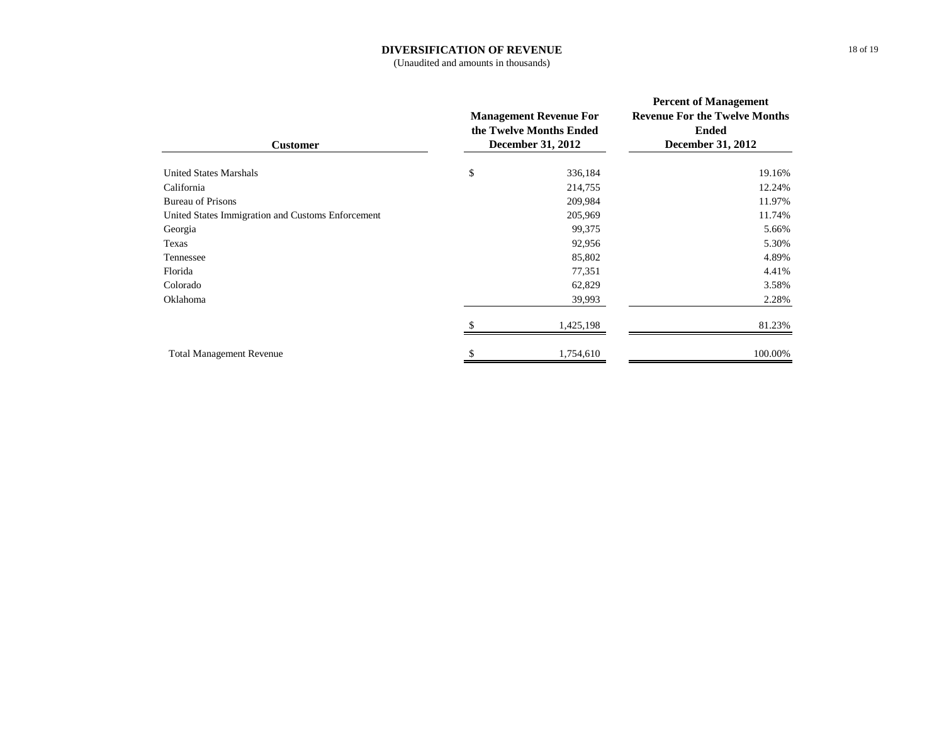#### **DIVERSIFICATION OF REVENUE**

(Unaudited and amounts in thousands)

| <b>Customer</b>                                   | <b>Management Revenue For</b><br>the Twelve Months Ended<br><b>December 31, 2012</b> | <b>Percent of Management</b><br><b>Revenue For the Twelve Months</b><br><b>Ended</b><br><b>December 31, 2012</b> |  |
|---------------------------------------------------|--------------------------------------------------------------------------------------|------------------------------------------------------------------------------------------------------------------|--|
| <b>United States Marshals</b>                     | \$<br>336,184                                                                        | 19.16%                                                                                                           |  |
| California                                        | 214,755                                                                              | 12.24%                                                                                                           |  |
| <b>Bureau of Prisons</b>                          | 209,984                                                                              | 11.97%                                                                                                           |  |
| United States Immigration and Customs Enforcement | 205,969                                                                              | 11.74%                                                                                                           |  |
| Georgia                                           | 99,375                                                                               | 5.66%                                                                                                            |  |
| Texas                                             | 92,956                                                                               | 5.30%                                                                                                            |  |
| Tennessee                                         | 85,802                                                                               | 4.89%                                                                                                            |  |
| Florida                                           | 77,351                                                                               | 4.41%                                                                                                            |  |
| Colorado                                          | 62,829                                                                               | 3.58%                                                                                                            |  |
| Oklahoma                                          | 39,993                                                                               | 2.28%                                                                                                            |  |
|                                                   | 1,425,198                                                                            | 81.23%                                                                                                           |  |
| <b>Total Management Revenue</b>                   | \$<br>1,754,610                                                                      | 100.00%                                                                                                          |  |